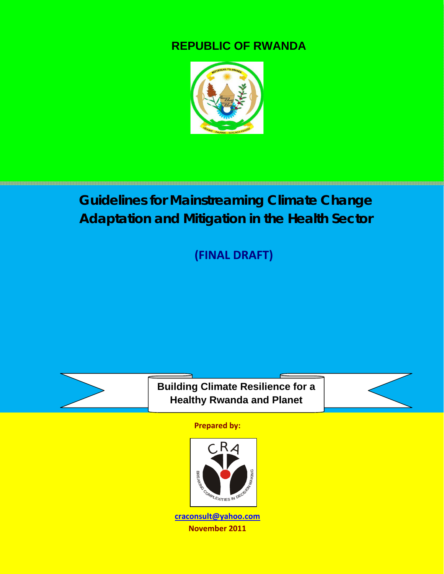### **REPUBLIC OF RWANDA**



## *Guidelines for Mainstreaming Climate Change Adaptation and Mitigation in the Health Sector*

**(FINAL DRAFT)**



**Building Climate Resilience for a Healthy Rwanda and Planet**



**Prepared by:**



**craconsult@yahoo.com November 2011**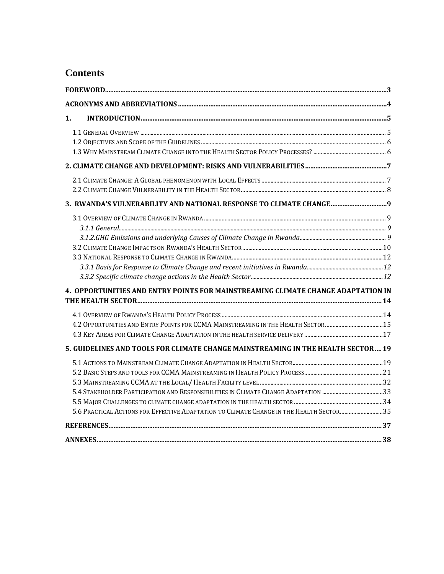### **Contents**

| 1. |                                                                                         |  |
|----|-----------------------------------------------------------------------------------------|--|
|    |                                                                                         |  |
|    |                                                                                         |  |
|    |                                                                                         |  |
|    |                                                                                         |  |
|    |                                                                                         |  |
|    |                                                                                         |  |
|    | 3. RWANDA'S VULNERABILITY AND NATIONAL RESPONSE TO CLIMATE CHANGE 9                     |  |
|    |                                                                                         |  |
|    |                                                                                         |  |
|    |                                                                                         |  |
|    |                                                                                         |  |
|    |                                                                                         |  |
|    |                                                                                         |  |
|    |                                                                                         |  |
|    | 4. OPPORTUNITIES AND ENTRY POINTS FOR MAINSTREAMING CLIMATE CHANGE ADAPTATION IN        |  |
|    |                                                                                         |  |
|    |                                                                                         |  |
|    |                                                                                         |  |
|    |                                                                                         |  |
|    | 5. GUIDELINES AND TOOLS FOR CLIMATE CHANGE MAINSTREAMING IN THE HEALTH SECTOR 19        |  |
|    |                                                                                         |  |
|    |                                                                                         |  |
|    |                                                                                         |  |
|    |                                                                                         |  |
|    |                                                                                         |  |
|    | 5.6 PRACTICAL ACTIONS FOR EFFECTIVE ADAPTATION TO CLIMATE CHANGE IN THE HEALTH SECTOR35 |  |
|    |                                                                                         |  |
|    |                                                                                         |  |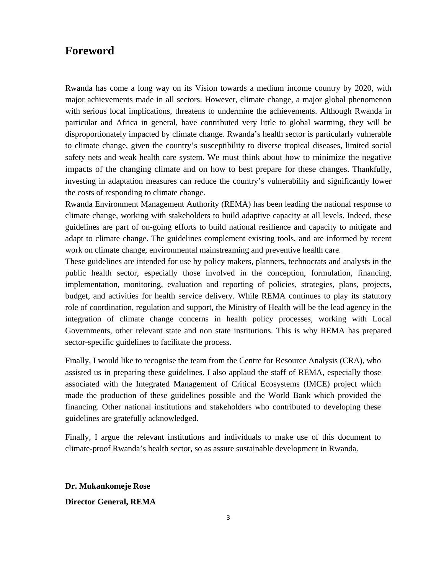### **Foreword**

Rwanda has come a long way on its Vision towards a medium income country by 2020, with major achievements made in all sectors. However, climate change, a major global phenomenon with serious local implications, threatens to undermine the achievements. Although Rwanda in particular and Africa in general, have contributed very little to global warming, they will be disproportionately impacted by climate change. Rwanda's health sector is particularly vulnerable to climate change, given the country's susceptibility to diverse tropical diseases, limited social safety nets and weak health care system. We must think about how to minimize the negative impacts of the changing climate and on how to best prepare for these changes. Thankfully, investing in adaptation measures can reduce the country's vulnerability and significantly lower the costs of responding to climate change.

Rwanda Environment Management Authority (REMA) has been leading the national response to climate change, working with stakeholders to build adaptive capacity at all levels. Indeed, these guidelines are part of on-going efforts to build national resilience and capacity to mitigate and adapt to climate change. The guidelines complement existing tools, and are informed by recent work on climate change, environmental mainstreaming and preventive health care.

These guidelines are intended for use by policy makers, planners, technocrats and analysts in the public health sector, especially those involved in the conception, formulation, financing, implementation, monitoring, evaluation and reporting of policies, strategies, plans, projects, budget, and activities for health service delivery. While REMA continues to play its statutory role of coordination, regulation and support, the Ministry of Health will be the lead agency in the integration of climate change concerns in health policy processes, working with Local Governments, other relevant state and non state institutions. This is why REMA has prepared sector-specific guidelines to facilitate the process.

Finally, I would like to recognise the team from the Centre for Resource Analysis (CRA), who assisted us in preparing these guidelines. I also applaud the staff of REMA, especially those associated with the Integrated Management of Critical Ecosystems (IMCE) project which made the production of these guidelines possible and the World Bank which provided the financing. Other national institutions and stakeholders who contributed to developing these guidelines are gratefully acknowledged.

Finally, I argue the relevant institutions and individuals to make use of this document to climate-proof Rwanda's health sector, so as assure sustainable development in Rwanda.

**Dr. Mukankomeje Rose** 

**Director General, REMA**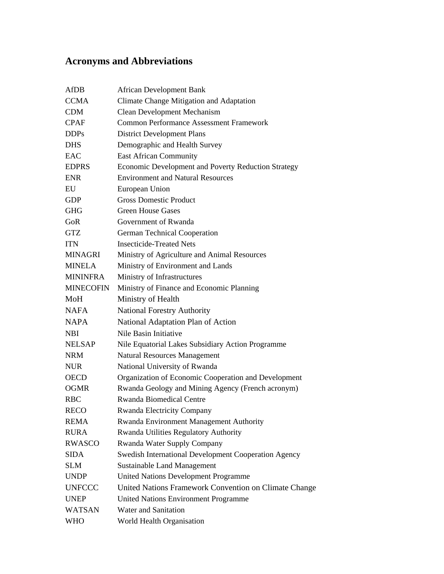## **Acronyms and Abbreviations**

| AfDB             | <b>African Development Bank</b>                       |
|------------------|-------------------------------------------------------|
| <b>CCMA</b>      | Climate Change Mitigation and Adaptation              |
| <b>CDM</b>       | Clean Development Mechanism                           |
| <b>CPAF</b>      | <b>Common Performance Assessment Framework</b>        |
| <b>DDPs</b>      | <b>District Development Plans</b>                     |
| <b>DHS</b>       | Demographic and Health Survey                         |
| EAC              | <b>East African Community</b>                         |
| <b>EDPRS</b>     | Economic Development and Poverty Reduction Strategy   |
| <b>ENR</b>       | <b>Environment and Natural Resources</b>              |
| EU               | European Union                                        |
| <b>GDP</b>       | <b>Gross Domestic Product</b>                         |
| <b>GHG</b>       | <b>Green House Gases</b>                              |
| GoR              | Government of Rwanda                                  |
| <b>GTZ</b>       | <b>German Technical Cooperation</b>                   |
| <b>ITN</b>       | <b>Insecticide-Treated Nets</b>                       |
| <b>MINAGRI</b>   | Ministry of Agriculture and Animal Resources          |
| <b>MINELA</b>    | Ministry of Environment and Lands                     |
| <b>MININFRA</b>  | Ministry of Infrastructures                           |
| <b>MINECOFIN</b> | Ministry of Finance and Economic Planning             |
| MoH              | Ministry of Health                                    |
| <b>NAFA</b>      | National Forestry Authority                           |
| <b>NAPA</b>      | National Adaptation Plan of Action                    |
| <b>NBI</b>       | Nile Basin Initiative                                 |
| <b>NELSAP</b>    | Nile Equatorial Lakes Subsidiary Action Programme     |
| <b>NRM</b>       | <b>Natural Resources Management</b>                   |
| <b>NUR</b>       | National University of Rwanda                         |
| <b>OECD</b>      | Organization of Economic Cooperation and Development  |
| <b>OGMR</b>      | Rwanda Geology and Mining Agency (French acronym)     |
| <b>RBC</b>       | <b>Rwanda Biomedical Centre</b>                       |
| <b>RECO</b>      | <b>Rwanda Electricity Company</b>                     |
| <b>REMA</b>      | Rwanda Environment Management Authority               |
| <b>RURA</b>      | Rwanda Utilities Regulatory Authority                 |
| <b>RWASCO</b>    | Rwanda Water Supply Company                           |
| <b>SIDA</b>      | Swedish International Development Cooperation Agency  |
| <b>SLM</b>       | <b>Sustainable Land Management</b>                    |
| <b>UNDP</b>      | <b>United Nations Development Programme</b>           |
| <b>UNFCCC</b>    | United Nations Framework Convention on Climate Change |
| <b>UNEP</b>      | <b>United Nations Environment Programme</b>           |
| <b>WATSAN</b>    | <b>Water and Sanitation</b>                           |
| WHO              | World Health Organisation                             |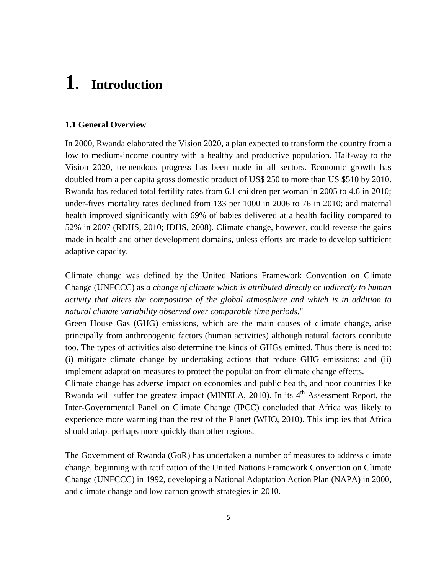## **1. Introduction**

### **1.1 General Overview**

In 2000, Rwanda elaborated the Vision 2020, a plan expected to transform the country from a low to medium-income country with a healthy and productive population. Half-way to the Vision 2020, tremendous progress has been made in all sectors. Economic growth has doubled from a per capita gross domestic product of US\$ 250 to more than US \$510 by 2010. Rwanda has reduced total fertility rates from 6.1 children per woman in 2005 to 4.6 in 2010; under-fives mortality rates declined from 133 per 1000 in 2006 to 76 in 2010; and maternal health improved significantly with 69% of babies delivered at a health facility compared to 52% in 2007 (RDHS, 2010; IDHS, 2008). Climate change, however, could reverse the gains made in health and other development domains, unless efforts are made to develop sufficient adaptive capacity.

Climate change was defined by the United Nations Framework Convention on Climate Change (UNFCCC) as *a change of climate which is attributed directly or indirectly to human activity that alters the composition of the global atmosphere and which is in addition to natural climate variability observed over comparable time periods*."

Green House Gas (GHG) emissions, which are the main causes of climate change, arise principally from anthropogenic factors (human activities) although natural factors conribute too. The types of activities also determine the kinds of GHGs emitted. Thus there is need to: (i) mitigate climate change by undertaking actions that reduce GHG emissions; and (ii) implement adaptation measures to protect the population from climate change effects.

Climate change has adverse impact on economies and public health, and poor countries like Rwanda will suffer the greatest impact (MINELA, 2010). In its 4<sup>th</sup> Assessment Report, the Inter-Governmental Panel on Climate Change (IPCC) concluded that Africa was likely to experience more warming than the rest of the Planet (WHO, 2010). This implies that Africa should adapt perhaps more quickly than other regions.

The Government of Rwanda (GoR) has undertaken a number of measures to address climate change, beginning with ratification of the United Nations Framework Convention on Climate Change (UNFCCC) in 1992, developing a National Adaptation Action Plan (NAPA) in 2000, and climate change and low carbon growth strategies in 2010.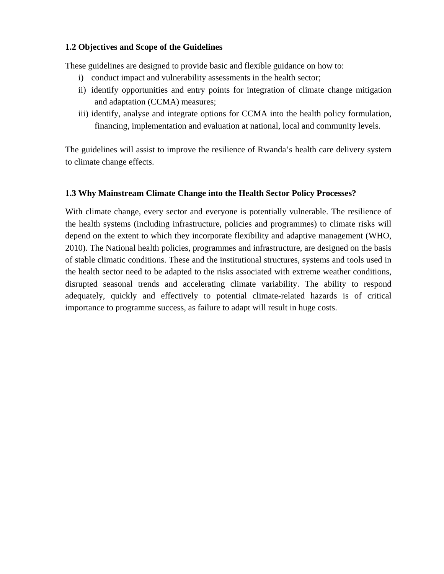### **1.2 Objectives and Scope of the Guidelines**

These guidelines are designed to provide basic and flexible guidance on how to:

- i) conduct impact and vulnerability assessments in the health sector;
- ii) identify opportunities and entry points for integration of climate change mitigation and adaptation (CCMA) measures;
- iii) identify, analyse and integrate options for CCMA into the health policy formulation, financing, implementation and evaluation at national, local and community levels.

The guidelines will assist to improve the resilience of Rwanda's health care delivery system to climate change effects.

### **1.3 Why Mainstream Climate Change into the Health Sector Policy Processes?**

With climate change, every sector and everyone is potentially vulnerable. The resilience of the health systems (including infrastructure, policies and programmes) to climate risks will depend on the extent to which they incorporate flexibility and adaptive management (WHO, 2010). The National health policies, programmes and infrastructure, are designed on the basis of stable climatic conditions. These and the institutional structures, systems and tools used in the health sector need to be adapted to the risks associated with extreme weather conditions, disrupted seasonal trends and accelerating climate variability. The ability to respond adequately, quickly and effectively to potential climate-related hazards is of critical importance to programme success, as failure to adapt will result in huge costs.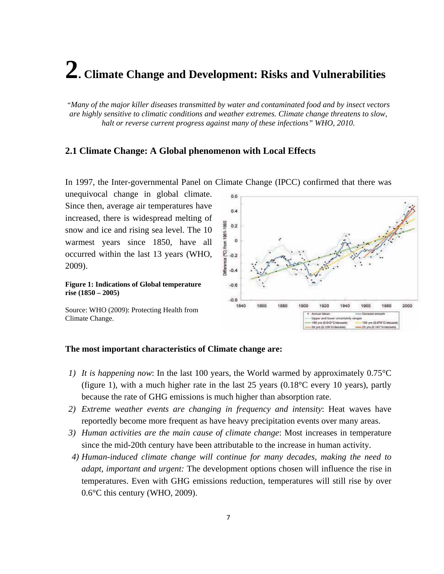## **2. Climate Change and Development: Risks and Vulnerabilities**

*"Many of the major killer diseases transmitted by water and contaminated food and by insect vectors are highly sensitive to climatic conditions and weather extremes. Climate change threatens to slow, halt or reverse current progress against many of these infections" WHO, 2010.*

### **2.1 Climate Change: A Global phenomenon with Local Effects**

unequivocal change in global climate.  $0.6$ Since then, average air temperatures have  $0.4$ increased, there is widespread melting of from 1961-1990  $0.2$ snow and ice and rising sea level. The 10  $\mathbf{o}$ warmest years since 1850, have all occurred within the last 13 years (WHO, E  $-0.2$ Difference  $-0.4$ **Figure 1: Indications of Global temperature**   $-0.6$ **rise (1850 – 2005)**   $-0.8$ 1840 1860 1880 1900 1920 1940 1960 1980 2000

il Meat

50 yrs (0.125°C/decade)

Upper and lo 50 yrs (0.043°C/der

uncertainty ranger

100 yrs (0.076°C/d)

25 yrs (0.187°C/de

In 1997, the Inter-governmental Panel on Climate Change (IPCC) confirmed that there was

Source: WHO (2009): Protecting Health from Climate Change.

2009).

### **The most important characteristics of Climate change are:**

- *1) It is happening now*: In the last 100 years, the World warmed by approximately 0.75°C (figure 1), with a much higher rate in the last 25 years (0.18°C every 10 years), partly because the rate of GHG emissions is much higher than absorption rate.
- *2) Extreme weather events are changing in frequency and intensity*: Heat waves have reportedly become more frequent as have heavy precipitation events over many areas.
- *3) Human activities are the main cause of climate change*: Most increases in temperature since the mid-20th century have been attributable to the increase in human activity.
- *4) Human-induced climate change will continue for many decades, making the need to adapt, important and urgent:* The development options chosen will influence the rise in temperatures. Even with GHG emissions reduction, temperatures will still rise by over 0.6°C this century (WHO, 2009).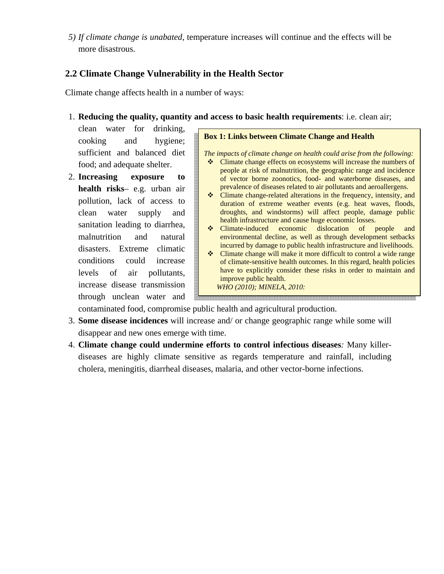*5) If climate change is unabated*, temperature increases will continue and the effects will be more disastrous.

### **2.2 Climate Change Vulnerability in the Health Sector**

Climate change affects health in a number of ways:

1. **Reducing the quality, quantity and access to basic health requirements**: i.e. clean air;

clean water for drinking, cooking and hygiene; sufficient and balanced diet food; and adequate shelter.

2. **Increasing exposure to health risks**– e.g. urban air pollution, lack of access to clean water supply and sanitation leading to diarrhea, malnutrition and natural disasters. Extreme climatic conditions could increase levels of air pollutants, increase disease transmission through unclean water and

### **Box 1: Links between Climate Change and Health**

*The impacts of climate change on health could arise from the following:* 

- Climate change effects on ecosystems will increase the numbers of people at risk of malnutrition, the geographic range and incidence of vector borne zoonotics, food- and waterborne diseases, and prevalence of diseases related to air pollutants and aeroallergens.
- $\bullet$  Climate change-related alterations in the frequency, intensity, and duration of extreme weather events (e.g. heat waves, floods, droughts, and windstorms) will affect people, damage public health infrastructure and cause huge economic losses.
- Climate-induced economic dislocation of people and environmental decline, as well as through development setbacks incurred by damage to public health infrastructure and livelihoods.
- Climate change will make it more difficult to control a wide range of climate-sensitive health outcomes. In this regard, health policies have to explicitly consider these risks in order to maintain and improve public health.

 *WHO (2010); MINELA, 2010:*

contaminated food, compromise public health and agricultural production.

- 3. **Some disease incidences** will increase and/ or change geographic range while some will disappear and new ones emerge with time.
- 4. **Climate change could undermine efforts to control infectious diseases***:* Many killerdiseases are highly climate sensitive as regards temperature and rainfall, including cholera, meningitis, diarrheal diseases, malaria, and other vector-borne infections.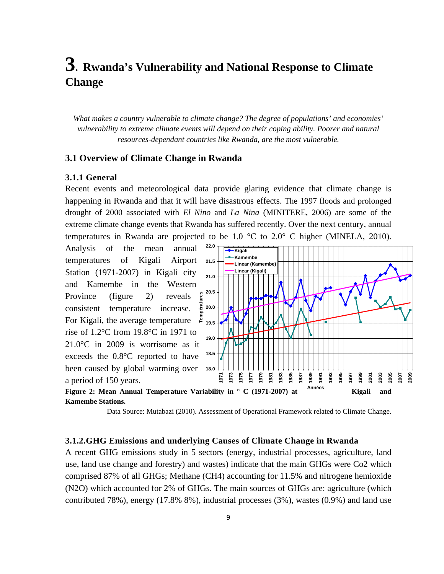## **3.****Rwanda's Vulnerability and National Response to Climate Change**

*What makes a country vulnerable to climate change? The degree of populations' and economies' vulnerability to extreme climate events will depend on their coping ability. Poorer and natural resources-dependant countries like Rwanda, are the most vulnerable.* 

### **3.1 Overview of Climate Change in Rwanda**

### **3.1.1 General**

Recent events and meteorological data provide glaring evidence that climate change is happening in Rwanda and that it will have disastrous effects. The 1997 floods and prolonged drought of 2000 associated with *El Nino* and *La Nina* (MINITERE, 2006) are some of the extreme climate change events that Rwanda has suffered recently. Over the next century, annual temperatures in Rwanda are projected to be 1.0  $^{\circ}$ C to 2.0 $^{\circ}$  C higher (MINELA, 2010).

Analysis of the mean annual temperatures of Kigali Airport Station (1971-2007) in Kigali city and Kamembe in the Western ures Province (figure 2) reveals **Températures** consistent temperature increase. péra For Kigali, the average temperature  $\bar{P}$ rise of 1.2°C from 19.8°C in 1971 to 21.0°C in 2009 is worrisome as it exceeds the 0.8°C reported to have been caused by global warming over a period of 150 years.







### **3.1.2.GHG Emissions and underlying Causes of Climate Change in Rwanda**

A recent GHG emissions study in 5 sectors (energy, industrial processes, agriculture, land use, land use change and forestry) and wastes) indicate that the main GHGs were Co2 which comprised 87% of all GHGs; Methane (CH4) accounting for 11.5% and nitrogene hemioxide (N2O) which accounted for 2% of GHGs. The main sources of GHGs are: agriculture (which contributed 78%), energy (17.8% 8%), industrial processes (3%), wastes (0.9%) and land use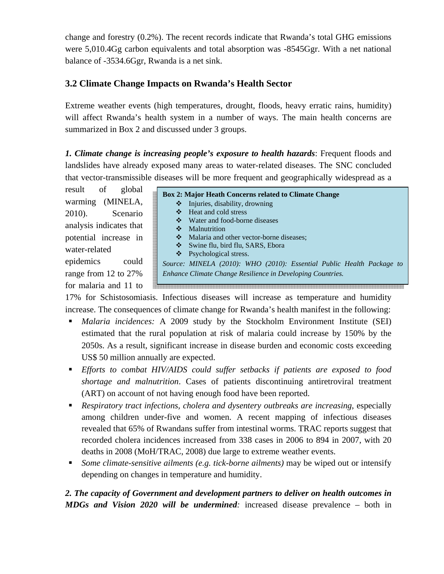change and forestry (0.2%). The recent records indicate that Rwanda's total GHG emissions were 5,010.4Gg carbon equivalents and total absorption was -8545Ggr. With a net national balance of -3534.6Ggr, Rwanda is a net sink.

### **3.2 Climate Change Impacts on Rwanda's Health Sector**

Extreme weather events (high temperatures, drought, floods, heavy erratic rains, humidity) will affect Rwanda's health system in a number of ways. The main health concerns are summarized in Box 2 and discussed under 3 groups.

*1. Climate change is increasing people's exposure to health hazards*: Frequent floods and landslides have already exposed many areas to water-related diseases. The SNC concluded that vector-transmissible diseases will be more frequent and geographically widespread as a

result of global warming (MINELA, 2010). Scenario analysis indicates that potential increase in water-related

epidemics could range from 12 to 27% for malaria and 11 to **Box 2: Major Heath Concerns related to Climate Change**   $\triangle$  Injuries, disability, drowning Heat and cold stress Water and food-borne diseases Malnutrition • Malaria and other vector-borne diseases; Swine flu, bird flu, SARS, Ebora ❖ Psychological stress. *Source: MINELA (2010): WHO (2010): Essential Public Health Package to Enhance Climate Change Resilience in Developing Countries.*  .<br>The second second second second second second second second second second second second second second second

17% for Schistosomiasis. Infectious diseases will increase as temperature and humidity increase. The consequences of climate change for Rwanda's health manifest in the following:

- *Malaria incidences:* A 2009 study by the Stockholm Environment Institute (SEI) estimated that the rural population at risk of malaria could increase by 150% by the 2050s. As a result, significant increase in disease burden and economic costs exceeding US\$ 50 million annually are expected.
- *Efforts to combat HIV/AIDS could suffer setbacks if patients are exposed to food shortage and malnutrition*. Cases of patients discontinuing antiretroviral treatment (ART) on account of not having enough food have been reported.
- *Respiratory tract infections, cholera and dysentery outbreaks are increasing*, especially among children under-five and women. A recent mapping of infectious diseases revealed that 65% of Rwandans suffer from intestinal worms. TRAC reports suggest that recorded cholera incidences increased from 338 cases in 2006 to 894 in 2007, with 20 deaths in 2008 (MoH/TRAC, 2008) due large to extreme weather events.
- *Some climate-sensitive ailments (e.g. tick-borne ailments)* may be wiped out or intensify depending on changes in temperature and humidity.

### *2. The capacity of Government and development partners to deliver on health outcomes in MDGs and Vision 2020 will be undermined:* increased disease prevalence – both in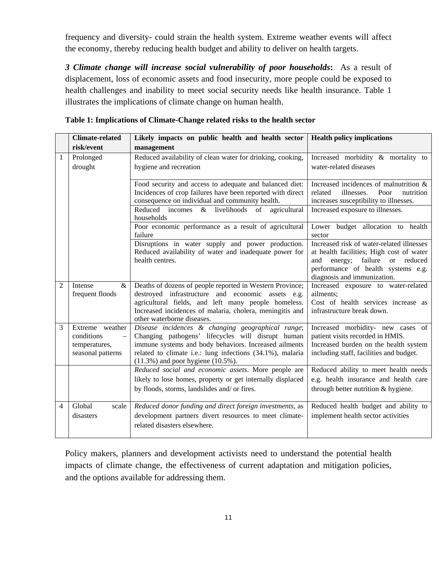frequency and diversity- could strain the health system. Extreme weather events will affect the economy, thereby reducing health budget and ability to deliver on health targets.

*3 Climate change will increase social vulnerability of poor households***:** As a result of displacement, loss of economic assets and food insecurity, more people could be exposed to health challenges and inability to meet social security needs like health insurance. Table 1 illustrates the implications of climate change on human health.

|                | <b>Climate-related</b>                                              |                                                                                                                                                                                                                                                                          |                                                                                                                                                                                                 |
|----------------|---------------------------------------------------------------------|--------------------------------------------------------------------------------------------------------------------------------------------------------------------------------------------------------------------------------------------------------------------------|-------------------------------------------------------------------------------------------------------------------------------------------------------------------------------------------------|
|                | risk/event                                                          | Likely impacts on public health and health sector<br>management                                                                                                                                                                                                          | <b>Health policy implications</b>                                                                                                                                                               |
| 1              | Prolonged<br>drought                                                | Reduced availability of clean water for drinking, cooking,<br>hygiene and recreation                                                                                                                                                                                     | Increased morbidity & mortality to<br>water-related diseases                                                                                                                                    |
|                |                                                                     | Food security and access to adequate and balanced diet:<br>Incidences of crop failures have been reported with direct<br>consequence on individual and community health.<br>Reduced incomes & livelihoods of agricultural<br>households                                  | Increased incidences of malnutrition &<br>Poor<br>nutrition<br>related<br>illnesses.<br>increases susceptibility to illnesses.<br>Increased exposure to illnesses.                              |
|                |                                                                     | Poor economic performance as a result of agricultural<br>failure                                                                                                                                                                                                         | Lower budget allocation to health<br>sector                                                                                                                                                     |
|                |                                                                     | Disruptions in water supply and power production.<br>Reduced availability of water and inadequate power for<br>health centres.                                                                                                                                           | Increased risk of water-related illnesses<br>at health facilities; High cost of water<br>energy; failure or reduced<br>and<br>performance of health systems e.g.<br>diagnosis and immunization. |
| $\overline{2}$ | Intense<br>$\&$<br>frequent floods                                  | Deaths of dozens of people reported in Western Province;<br>destroyed infrastructure and economic assets e.g.<br>agricultural fields, and left many people homeless.<br>Increased incidences of malaria, cholera, meningitis and<br>other waterborne diseases.           | Increased exposure to water-related<br>ailments;<br>Cost of health services increase as<br>infrastructure break down.                                                                           |
| 3              | Extreme weather<br>conditions<br>temperatures,<br>seasonal patterns | Disease incidences & changing geographical range;<br>Changing pathogens' lifecycles will disrupt human<br>immune systems and body behaviors. Increased ailments<br>related to climate i.e.: lung infections (34.1%), malaria<br>$(11.3\%)$ and poor hygiene $(10.5\%)$ . | Increased morbidity- new cases of<br>patient visits recorded in HMIS.<br>Increased burden on the health system<br>including staff, facilities and budget.                                       |
|                |                                                                     | Reduced social and economic assets. More people are<br>likely to lose homes, property or get internally displaced<br>by floods, storms, landslides and/ or fires.                                                                                                        | Reduced ability to meet health needs<br>e.g. health insurance and health care<br>through better nutrition & hygiene.                                                                            |
| 4              | Global<br>scale<br>disasters                                        | Reduced donor funding and direct foreign investments, as<br>development partners divert resources to meet climate-<br>related disasters elsewhere.                                                                                                                       | Reduced health budget and ability to<br>implement health sector activities                                                                                                                      |

**Table 1: Implications of Climate-Change related risks to the health sector** 

Policy makers, planners and development activists need to understand the potential health impacts of climate change, the effectiveness of current adaptation and mitigation policies, and the options available for addressing them.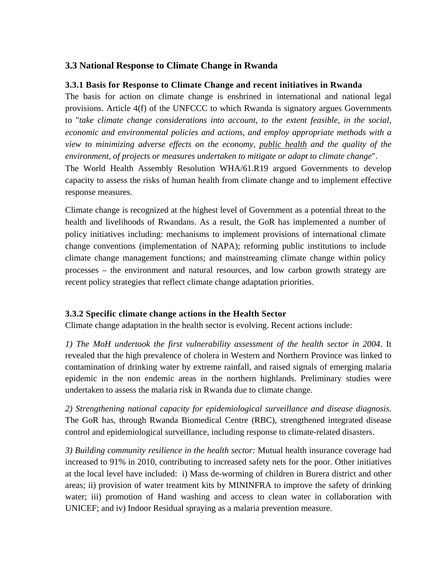### **3.3 National Response to Climate Change in Rwanda**

### **3.3.1 Basis for Response to Climate Change and recent initiatives in Rwanda**

The basis for action on climate change is enshrined in international and national legal provisions. Article 4(f) of the UNFCCC to which Rwanda is signatory argues Governments to "*take climate change considerations into account, to the extent feasible, in the social, economic and environmental policies and actions, and employ appropriate methods with a view to minimizing adverse effects on the economy, public health and the quality of the environment, of projects or measures undertaken to mitigate or adapt to climate change*". The World Health Assembly Resolution WHA/61.R19 argued Governments to develop capacity to assess the risks of human health from climate change and to implement effective response measures.

Climate change is recognized at the highest level of Government as a potential threat to the health and livelihoods of Rwandans. As a result, the GoR has implemented a number of policy initiatives including: mechanisms to implement provisions of international climate change conventions (implementation of NAPA); reforming public institutions to include climate change management functions; and mainstreaming climate change within policy processes – the environment and natural resources, and low carbon growth strategy are recent policy strategies that reflect climate change adaptation priorities.

### **3.3.2 Specific climate change actions in the Health Sector**

Climate change adaptation in the health sector is evolving. Recent actions include:

*1) The MoH undertook the first vulnerability assessment of the health sector in 2004*. It revealed that the high prevalence of cholera in Western and Northern Province was linked to contamination of drinking water by extreme rainfall, and raised signals of emerging malaria epidemic in the non endemic areas in the northern highlands. Preliminary studies were undertaken to assess the malaria risk in Rwanda due to climate change.

*2) Strengthening national capacity for epidemiological surveillance and disease diagnosis*. The GoR has, through Rwanda Biomedical Centre (RBC), strengthened integrated disease control and epidemiological surveillance, including response to climate-related disasters.

*3) Building community resilience in the health sector:* Mutual health insurance coverage had increased to 91% in 2010, contributing to increased safety nets for the poor. Other initiatives at the local level have included: i) Mass de-worming of children in Burera district and other areas; ii) provision of water treatment kits by MININFRA to improve the safety of drinking water; iii) promotion of Hand washing and access to clean water in collaboration with UNICEF; and iv) Indoor Residual spraying as a malaria prevention measure.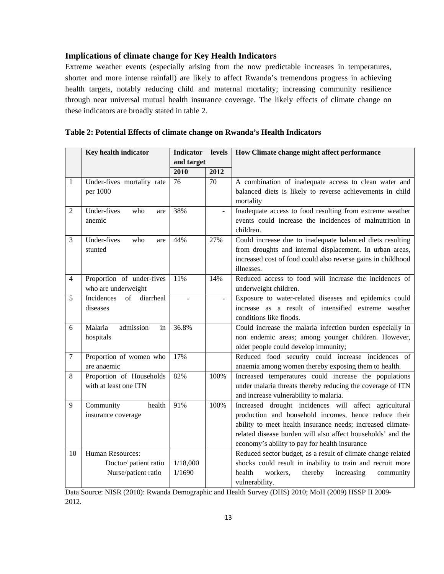### **Implications of climate change for Key Health Indicators**

Extreme weather events (especially arising from the now predictable increases in temperatures, shorter and more intense rainfall) are likely to affect Rwanda's tremendous progress in achieving health targets, notably reducing child and maternal mortality; increasing community resilience through near universal mutual health insurance coverage. The likely effects of climate change on these indicators are broadly stated in table 2.

|                  | Key health indicator                             | <b>Indicator</b> | levels | How Climate change might affect performance                                                                                                                                                         |
|------------------|--------------------------------------------------|------------------|--------|-----------------------------------------------------------------------------------------------------------------------------------------------------------------------------------------------------|
|                  |                                                  | and target       |        |                                                                                                                                                                                                     |
|                  |                                                  | 2010             | 2012   |                                                                                                                                                                                                     |
| 1                | Under-fives mortality rate<br>per 1000           | 76               | 70     | A combination of inadequate access to clean water and<br>balanced diets is likely to reverse achievements in child<br>mortality                                                                     |
| 2                | Under-fives<br>who<br>are<br>anemic              | 38%              |        | Inadequate access to food resulting from extreme weather<br>events could increase the incidences of malnutrition in<br>children.                                                                    |
| 3                | Under-fives<br>who<br>are<br>stunted             | 44%              | 27%    | Could increase due to inadequate balanced diets resulting<br>from droughts and internal displacement. In urban areas,<br>increased cost of food could also reverse gains in childhood<br>illnesses. |
| $\overline{4}$   | Proportion of under-fives<br>who are underweight | 11%              | 14%    | Reduced access to food will increase the incidences of<br>underweight children.                                                                                                                     |
| 5                | Incidences<br>of<br>diarrheal<br>diseases        | $\overline{a}$   | ÷.     | Exposure to water-related diseases and epidemics could<br>increase as a result of intensified extreme weather<br>conditions like floods.                                                            |
| 6                | Malaria<br>admission<br>in                       | 36.8%            |        | Could increase the malaria infection burden especially in                                                                                                                                           |
|                  | hospitals                                        |                  |        | non endemic areas; among younger children. However,                                                                                                                                                 |
|                  |                                                  |                  |        | older people could develop immunity;                                                                                                                                                                |
| $\boldsymbol{7}$ | Proportion of women who                          | 17%              |        | Reduced food security could increase incidences of                                                                                                                                                  |
|                  | are anaemic                                      |                  |        | anaemia among women thereby exposing them to health.                                                                                                                                                |
| 8                | Proportion of Households                         | 82%              | 100%   | Increased temperatures could increase the populations                                                                                                                                               |
|                  | with at least one ITN                            |                  |        | under malaria threats thereby reducing the coverage of ITN<br>and increase vulnerability to malaria.                                                                                                |
| 9                | Community<br>health                              | 91%              | 100%   | Increased drought incidences will affect agricultural                                                                                                                                               |
|                  | insurance coverage                               |                  |        | production and household incomes, hence reduce their                                                                                                                                                |
|                  |                                                  |                  |        | ability to meet health insurance needs; increased climate-                                                                                                                                          |
|                  |                                                  |                  |        | related disease burden will also affect households' and the                                                                                                                                         |
|                  |                                                  |                  |        | economy's ability to pay for health insurance                                                                                                                                                       |
| 10               | Human Resources:                                 |                  |        | Reduced sector budget, as a result of climate change related                                                                                                                                        |
|                  | Doctor/ patient ratio                            | 1/18,000         |        | shocks could result in inability to train and recruit more                                                                                                                                          |
|                  | Nurse/patient ratio                              | 1/1690           |        | health<br>workers,<br>thereby<br>increasing<br>community<br>vulnerability.                                                                                                                          |

| Table 2: Potential Effects of climate change on Rwanda's Health Indicators |  |
|----------------------------------------------------------------------------|--|
|----------------------------------------------------------------------------|--|

Data Source: NISR (2010): Rwanda Demographic and Health Survey (DHS) 2010; MoH (2009) HSSP II 2009- 2012.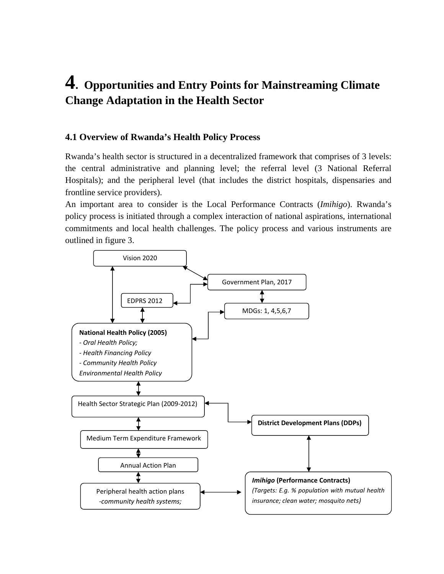## **4. Opportunities and Entry Points for Mainstreaming Climate Change Adaptation in the Health Sector**

### **4.1 Overview of Rwanda's Health Policy Process**

Rwanda's health sector is structured in a decentralized framework that comprises of 3 levels: the central administrative and planning level; the referral level (3 National Referral Hospitals); and the peripheral level (that includes the district hospitals, dispensaries and frontline service providers).

An important area to consider is the Local Performance Contracts (*Imihigo*). Rwanda's policy process is initiated through a complex interaction of national aspirations, international commitments and local health challenges. The policy process and various instruments are outlined in figure 3.

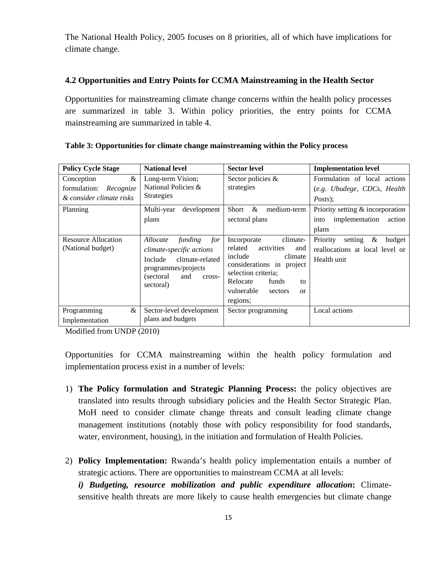The National Health Policy, 2005 focuses on 8 priorities, all of which have implications for climate change.

### **4.2 Opportunities and Entry Points for CCMA Mainstreaming in the Health Sector**

Opportunities for mainstreaming climate change concerns within the health policy processes are summarized in table 3. Within policy priorities, the entry points for CCMA mainstreaming are summarized in table 4.

| <b>Policy Cycle Stage</b>                                                   | <b>National level</b>                                                                                                                                   | <b>Sector level</b>                                                                                                                                                                                                | <b>Implementation level</b>                                                          |
|-----------------------------------------------------------------------------|---------------------------------------------------------------------------------------------------------------------------------------------------------|--------------------------------------------------------------------------------------------------------------------------------------------------------------------------------------------------------------------|--------------------------------------------------------------------------------------|
| $\&$<br>Conception<br>formulation:<br>Recognize<br>& consider climate risks | Long-term Vision;<br>National Policies &<br><b>Strategies</b>                                                                                           | Sector policies &<br>strategies                                                                                                                                                                                    | Formulation of local actions<br>(e.g. Ubudege, CDCs, Health<br><i>Posts</i> );       |
| Planning                                                                    | development<br>Multi-year<br>plans                                                                                                                      | $\&$<br>Short<br>medium-term<br>sectoral plans                                                                                                                                                                     | Priority setting & incorporation<br>implementation<br>action<br>into<br>plans        |
| Resource Allocation<br>(National budget)                                    | funding<br>Allocate<br>for<br>climate-specific actions<br>climate-related<br>Include<br>programmes/projects<br>and<br>(sectoral)<br>cross-<br>sectoral) | Incorporate<br>climate-<br>related<br>activities<br>and<br>include<br>climate<br>considerations in project<br>selection criteria;<br>Relocate<br>funds<br>to<br>vulnerable<br>sectors<br><sub>or</sub><br>regions; | &<br>Priority<br>budget<br>setting<br>reallocations at local level or<br>Health unit |
| $\&$<br>Programming<br>Implementation                                       | Sector-level development<br>plans and budgets                                                                                                           | Sector programming                                                                                                                                                                                                 | Local actions                                                                        |

| Table 3: Opportunities for climate change mainstreaming within the Policy process |  |  |  |
|-----------------------------------------------------------------------------------|--|--|--|
|                                                                                   |  |  |  |

Modified from UNDP (2010)

Opportunities for CCMA mainstreaming within the health policy formulation and implementation process exist in a number of levels:

- 1) **The Policy formulation and Strategic Planning Process:** the policy objectives are translated into results through subsidiary policies and the Health Sector Strategic Plan. MoH need to consider climate change threats and consult leading climate change management institutions (notably those with policy responsibility for food standards, water, environment, housing), in the initiation and formulation of Health Policies.
- 2) **Policy Implementation:** Rwanda's health policy implementation entails a number of strategic actions. There are opportunities to mainstream CCMA at all levels:

*i) Budgeting, resource mobilization and public expenditure allocation***:** Climatesensitive health threats are more likely to cause health emergencies but climate change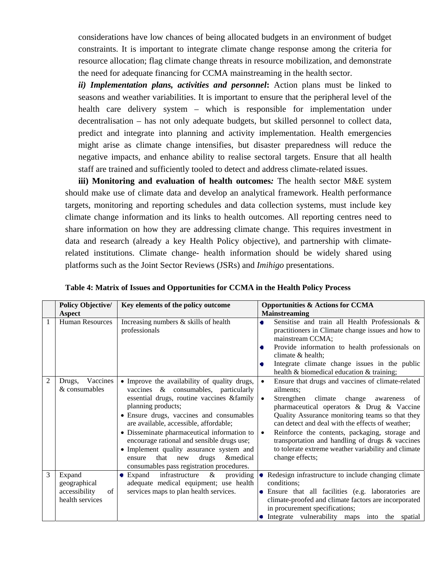considerations have low chances of being allocated budgets in an environment of budget constraints. It is important to integrate climate change response among the criteria for resource allocation; flag climate change threats in resource mobilization, and demonstrate the need for adequate financing for CCMA mainstreaming in the health sector.

*ii) Implementation plans, activities and personnel***:** Action plans must be linked to seasons and weather variabilities. It is important to ensure that the peripheral level of the health care delivery system – which is responsible for implementation under decentralisation – has not only adequate budgets, but skilled personnel to collect data, predict and integrate into planning and activity implementation. Health emergencies might arise as climate change intensifies, but disaster preparedness will reduce the negative impacts, and enhance ability to realise sectoral targets. Ensure that all health staff are trained and sufficiently tooled to detect and address climate-related issues.

**iii) Monitoring and evaluation of health outcomes***:* The health sector M&E system should make use of climate data and develop an analytical framework. Health performance targets, monitoring and reporting schedules and data collection systems, must include key climate change information and its links to health outcomes. All reporting centres need to share information on how they are addressing climate change. This requires investment in data and research (already a key Health Policy objective), and partnership with climaterelated institutions. Climate change- health information should be widely shared using platforms such as the Joint Sector Reviews (JSRs) and *Imihigo* presentations.

|                | <b>Policy Objective/</b>                                         | Key elements of the policy outcome                                                                                                                                                                                                                                                                                                                                                                                                                                                 | <b>Opportunities &amp; Actions for CCMA</b>                                                                                                                                                                                                                                                                                                                                                                                                                                  |
|----------------|------------------------------------------------------------------|------------------------------------------------------------------------------------------------------------------------------------------------------------------------------------------------------------------------------------------------------------------------------------------------------------------------------------------------------------------------------------------------------------------------------------------------------------------------------------|------------------------------------------------------------------------------------------------------------------------------------------------------------------------------------------------------------------------------------------------------------------------------------------------------------------------------------------------------------------------------------------------------------------------------------------------------------------------------|
| 1              | Aspect<br><b>Human Resources</b>                                 | Increasing numbers & skills of health<br>professionals                                                                                                                                                                                                                                                                                                                                                                                                                             | <b>Mainstreaming</b><br>Sensitise and train all Health Professionals &<br>practitioners in Climate change issues and how to<br>mainstream CCMA;<br>Provide information to health professionals on<br>۰<br>climate & health;<br>Integrate climate change issues in the public<br>health & biomedical education & training;                                                                                                                                                    |
| $\overline{2}$ | Vaccines<br>Drugs,<br>& consumables                              | • Improve the availability of quality drugs,<br>vaccines & consumables, particularly<br>essential drugs, routine vaccines & family<br>planning products;<br>• Ensure drugs, vaccines and consumables<br>are available, accessible, affordable;<br>• Disseminate pharmaceutical information to<br>encourage rational and sensible drugs use;<br>• Implement quality assurance system and<br>that<br>&medical<br>drugs<br>new<br>ensure<br>consumables pass registration procedures. | Ensure that drugs and vaccines of climate-related<br>ailments;<br>Strengthen climate change<br>awareness<br>$\bullet$<br>-of<br>pharmaceutical operators & Drug & Vaccine<br>Quality Assurance monitoring teams so that they<br>can detect and deal with the effects of weather;<br>Reinforce the contents, packaging, storage and<br>$\bullet$<br>transportation and handling of drugs & vaccines<br>to tolerate extreme weather variability and climate<br>change effects; |
| 3              | Expand<br>geographical<br>accessibility<br>of<br>health services | infrastructure<br>$\&$<br>providing<br>Expand<br>adequate medical equipment; use health<br>services maps to plan health services.                                                                                                                                                                                                                                                                                                                                                  | • Redesign infrastructure to include changing climate<br>conditions;<br>• Ensure that all facilities (e.g. laboratories are<br>climate-proofed and climate factors are incorporated<br>in procurement specifications;<br>• Integrate vulnerability maps into the spatial                                                                                                                                                                                                     |

**Table 4: Matrix of Issues and Opportunities for CCMA in the Health Policy Process**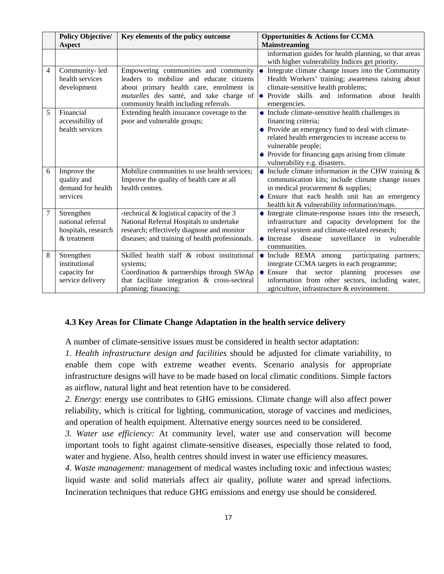|        | <b>Policy Objective/</b><br><b>Aspect</b>                             | Key elements of the policy outcome                                                                                                                                                                              | <b>Opportunities &amp; Actions for CCMA</b><br><b>Mainstreaming</b>                                                                                                                                                                                                                          |
|--------|-----------------------------------------------------------------------|-----------------------------------------------------------------------------------------------------------------------------------------------------------------------------------------------------------------|----------------------------------------------------------------------------------------------------------------------------------------------------------------------------------------------------------------------------------------------------------------------------------------------|
|        |                                                                       |                                                                                                                                                                                                                 | information guides for health planning, so that areas<br>with higher vulnerability Indices get priority.                                                                                                                                                                                     |
| 4      | Community-led<br>health services<br>development                       | Empowering communities and community<br>leaders to mobilize and educate citizens<br>about primary health care, enrolment in<br>mutuelles des santé, and take charge of<br>community health including referrals. | • Integrate climate change issues into the Community<br>Health Workers' training; awareness raising about<br>climate-sensitive health problems;<br>• Provide skills and information about health<br>emergencies.                                                                             |
| 5      | Financial<br>accessibility of<br>health services                      | Extending health insurance coverage to the<br>poor and vulnerable groups;                                                                                                                                       | • Include climate-sensitive health challenges in<br>financing criteria;<br>• Provide an emergency fund to deal with climate-<br>related health emergencies to increase access to<br>vulnerable people;<br>• Provide for financing gaps arising from climate<br>vulnerability e.g. disasters. |
| 6      | Improve the<br>quality and<br>demand for health<br>services           | Mobilize communities to use health services;<br>Improve the quality of health care at all<br>health centres.                                                                                                    | $\bullet$ Include climate information in the CHW training &<br>communication kits; include climate change issues<br>in medical procurement & supplies;<br>• Ensure that each health unit has an emergency<br>health kit & vulnerability information/maps.                                    |
| $\tau$ | Strengthen<br>national referral<br>hospitals, research<br>& treatment | -technical $&$ logistical capacity of the 3<br>National Referral Hospitals to undertake<br>research; effectively diagnose and monitor<br>diseases; and training of health professionals.                        | • Integrate climate-response issues into the research,<br>infrastructure and capacity development for the<br>referral system and climate-related research;<br>$\bullet$ Increase<br>disease<br>surveillance<br>in<br>vulnerable<br>communities.                                              |
| 8      | Strengthen<br>institutional<br>capacity for<br>service delivery       | Skilled health staff & robust institutional<br>systems;<br>Coordination & partnerships through SWAp<br>that facilitate integration & cross-sectoral<br>planning; financing;                                     | participating partners;<br>• Include REMA among<br>integrate CCMA targets in each programme;<br>• Ensure that sector planning processes<br>use<br>information from other sectors, including water,<br>agriculture, infrastructure & environment.                                             |

### **4.3 Key Areas for Climate Change Adaptation in the health service delivery**

A number of climate-sensitive issues must be considered in health sector adaptation:

*1. Health infrastructure design and facilities* should be adjusted for climate variability, to enable them cope with extreme weather events. Scenario analysis for appropriate infrastructure designs will have to be made based on local climatic conditions. Simple factors as airflow, natural light and heat retention have to be considered.

*2. Energy*: energy use contributes to GHG emissions. Climate change will also affect power reliability, which is critical for lighting, communication, storage of vaccines and medicines, and operation of health equipment. Alternative energy sources need to be considered.

*3. Water use efficiency:* At community level, water use and conservation will become important tools to fight against climate-sensitive diseases, especially those related to food, water and hygiene. Also, health centres should invest in water use efficiency measures.

*4. Waste management:* management of medical wastes including toxic and infectious wastes; liquid waste and solid materials affect air quality, pollute water and spread infections. Incineration techniques that reduce GHG emissions and energy use should be considered.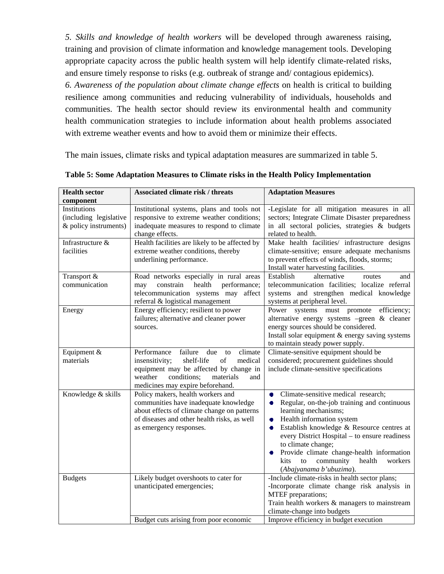*5. Skills and knowledge of health workers* will be developed through awareness raising, training and provision of climate information and knowledge management tools. Developing appropriate capacity across the public health system will help identify climate-related risks, and ensure timely response to risks (e.g. outbreak of strange and/ contagious epidemics). *6. Awareness of the population about climate change effects* on health is critical to building resilience among communities and reducing vulnerability of individuals, households and communities. The health sector should review its environmental health and community

health communication strategies to include information about health problems associated with extreme weather events and how to avoid them or minimize their effects.

The main issues, climate risks and typical adaptation measures are summarized in table 5.

| <b>Health sector</b><br>component                               | <b>Associated climate risk / threats</b>                                                                                                                                                                                    | <b>Adaptation Measures</b>                                                                                                                                                                                                                                                                                                                                                                                     |
|-----------------------------------------------------------------|-----------------------------------------------------------------------------------------------------------------------------------------------------------------------------------------------------------------------------|----------------------------------------------------------------------------------------------------------------------------------------------------------------------------------------------------------------------------------------------------------------------------------------------------------------------------------------------------------------------------------------------------------------|
| Institutions<br>(including legislative<br>& policy instruments) | Institutional systems, plans and tools not<br>responsive to extreme weather conditions;<br>inadequate measures to respond to climate<br>change effects.                                                                     | -Legislate for all mitigation measures in all<br>sectors; Integrate Climate Disaster preparedness<br>in all sectoral policies, strategies & budgets<br>related to health.                                                                                                                                                                                                                                      |
| Infrastructure &<br>facilities                                  | Health facilities are likely to be affected by<br>extreme weather conditions, thereby<br>underlining performance.                                                                                                           | Make health facilities/ infrastructure designs<br>climate-sensitive; ensure adequate mechanisms<br>to prevent effects of winds, floods, storms;<br>Install water harvesting facilities.                                                                                                                                                                                                                        |
| Transport &<br>communication                                    | Road networks especially in rural areas<br>constrain<br>health<br>performance;<br>may<br>telecommunication systems may affect<br>referral & logistical management                                                           | Establish<br>alternative<br>routes<br>and<br>telecommunication facilities; localize referral<br>systems and strengthen medical knowledge<br>systems at peripheral level.                                                                                                                                                                                                                                       |
| Energy                                                          | Energy efficiency; resilient to power<br>failures; alternative and cleaner power<br>sources.                                                                                                                                | Power systems must promote efficiency;<br>alternative energy systems -green & cleaner<br>energy sources should be considered.<br>Install solar equipment & energy saving systems<br>to maintain steady power supply.                                                                                                                                                                                           |
| Equipment &<br>materials                                        | Performance<br>failure<br>climate<br>due<br>to<br>insensitivity;<br>shelf-life<br>of<br>medical<br>equipment may be affected by change in<br>weather<br>conditions;<br>materials<br>and<br>medicines may expire beforehand. | Climate-sensitive equipment should be<br>considered; procurement guidelines should<br>include climate-sensitive specifications                                                                                                                                                                                                                                                                                 |
| Knowledge & skills                                              | Policy makers, health workers and<br>communities have inadequate knowledge<br>about effects of climate change on patterns<br>of diseases and other health risks, as well<br>as emergency responses.                         | Climate-sensitive medical research;<br>۰<br>Regular, on-the-job training and continuous<br>۰<br>learning mechanisms;<br>Health information system<br>۰<br>Establish knowledge & Resource centres at<br>۰<br>every District Hospital - to ensure readiness<br>to climate change;<br>Provide climate change-health information<br>to<br>community<br>health<br>workers<br><b>kits</b><br>(Abajyanama b'ubuzima). |
| <b>Budgets</b>                                                  | Likely budget overshoots to cater for<br>unanticipated emergencies;                                                                                                                                                         | -Include climate-risks in health sector plans;<br>-Incorporate climate change risk analysis in<br>MTEF preparations;<br>Train health workers & managers to mainstream<br>climate-change into budgets                                                                                                                                                                                                           |
|                                                                 | Budget cuts arising from poor economic                                                                                                                                                                                      | Improve efficiency in budget execution                                                                                                                                                                                                                                                                                                                                                                         |

**Table 5: Some Adaptation Measures to Climate risks in the Health Policy Implementation**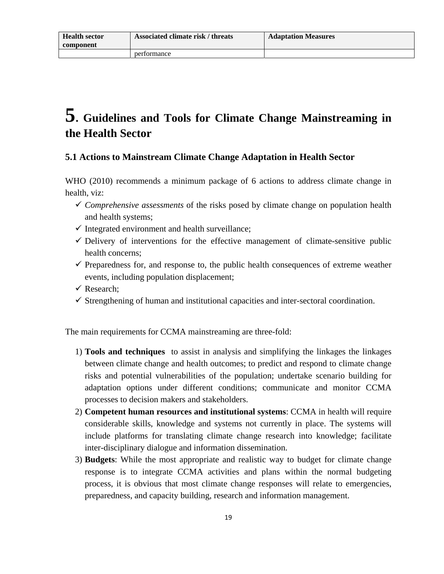## **5. Guidelines and Tools for Climate Change Mainstreaming in the Health Sector**

### **5.1 Actions to Mainstream Climate Change Adaptation in Health Sector**

WHO (2010) recommends a minimum package of 6 actions to address climate change in health, viz:

- $\checkmark$  *Comprehensive assessments* of the risks posed by climate change on population health and health systems;
- $\checkmark$  Integrated environment and health surveillance;
- $\checkmark$  Delivery of interventions for the effective management of climate-sensitive public health concerns;
- $\checkmark$  Preparedness for, and response to, the public health consequences of extreme weather events, including population displacement;
- $\checkmark$  Research:
- $\checkmark$  Strengthening of human and institutional capacities and inter-sectoral coordination.

The main requirements for CCMA mainstreaming are three-fold:

- 1) **Tools and techniques** to assist in analysis and simplifying the linkages the linkages between climate change and health outcomes; to predict and respond to climate change risks and potential vulnerabilities of the population; undertake scenario building for adaptation options under different conditions; communicate and monitor CCMA processes to decision makers and stakeholders.
- 2) **Competent human resources and institutional systems**: CCMA in health will require considerable skills, knowledge and systems not currently in place. The systems will include platforms for translating climate change research into knowledge; facilitate inter-disciplinary dialogue and information dissemination.
- 3) **Budgets**: While the most appropriate and realistic way to budget for climate change response is to integrate CCMA activities and plans within the normal budgeting process, it is obvious that most climate change responses will relate to emergencies, preparedness, and capacity building, research and information management.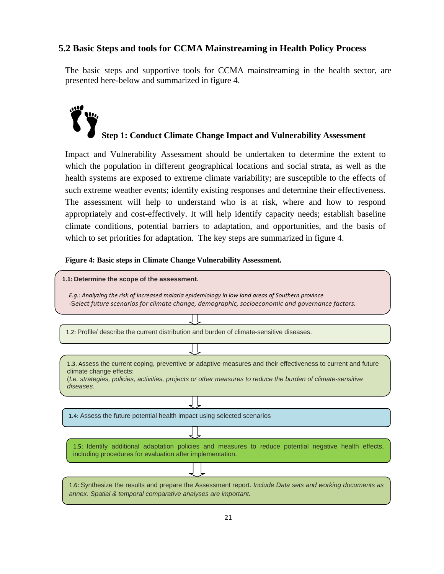### **5.2 Basic Steps and tools for CCMA Mainstreaming in Health Policy Process**

The basic steps and supportive tools for CCMA mainstreaming in the health sector, are presented here-below and summarized in figure 4.

# **Step 1: Conduct Climate Change Impact and Vulnerability Assessment**

Impact and Vulnerability Assessment should be undertaken to determine the extent to which the population in different geographical locations and social strata, as well as the health systems are exposed to extreme climate variability; are susceptible to the effects of such extreme weather events; identify existing responses and determine their effectiveness. The assessment will help to understand who is at risk, where and how to respond appropriately and cost-effectively. It will help identify capacity needs; establish baseline climate conditions, potential barriers to adaptation, and opportunities, and the basis of which to set priorities for adaptation. The key steps are summarized in figure 4.

### **Figure 4: Basic steps in Climate Change Vulnerability Assessment.**

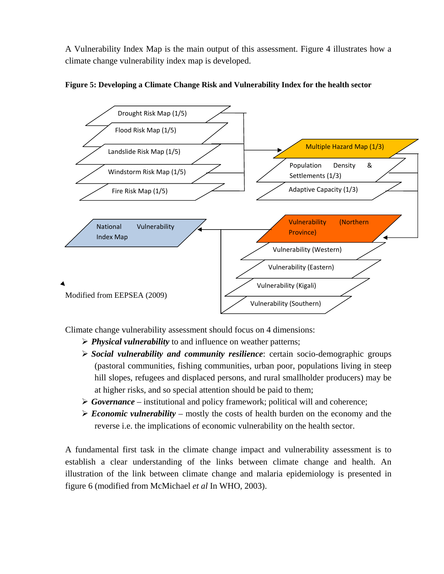A Vulnerability Index Map is the main output of this assessment. Figure 4 illustrates how a climate change vulnerability index map is developed.





Climate change vulnerability assessment should focus on 4 dimensions:

- ¾ *Physical vulnerability* to and influence on weather patterns;
- ¾ *Social vulnerability and community resilience*: certain socio-demographic groups (pastoral communities, fishing communities, urban poor, populations living in steep hill slopes, refugees and displaced persons, and rural smallholder producers) may be at higher risks, and so special attention should be paid to them;
- ¾ *Governance* institutional and policy framework; political will and coherence;
- $\triangleright$  *Economic vulnerability* mostly the costs of health burden on the economy and the reverse i.e. the implications of economic vulnerability on the health sector.

A fundamental first task in the climate change impact and vulnerability assessment is to establish a clear understanding of the links between climate change and health. An illustration of the link between climate change and malaria epidemiology is presented in figure 6 (modified from McMichael *et al* In WHO, 2003).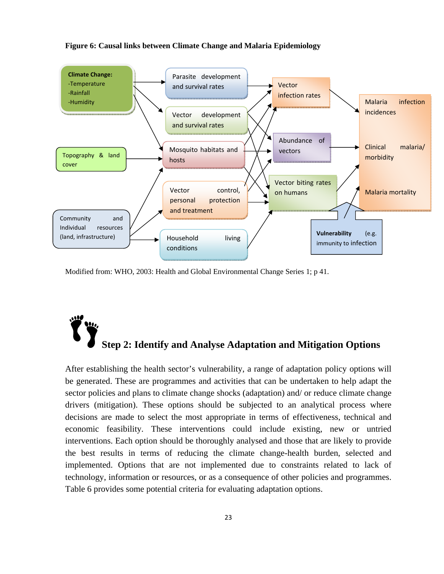### **Figure 6: Causal links between Climate Change and Malaria Epidemiology**



Modified from: WHO, 2003: Health and Global Environmental Change Series 1; p 41.

# **Step 2: Identify and Analyse Adaptation and Mitigation Options**

After establishing the health sector's vulnerability, a range of adaptation policy options will be generated. These are programmes and activities that can be undertaken to help adapt the sector policies and plans to climate change shocks (adaptation) and/ or reduce climate change drivers (mitigation). These options should be subjected to an analytical process where decisions are made to select the most appropriate in terms of effectiveness, technical and economic feasibility. These interventions could include existing, new or untried interventions. Each option should be thoroughly analysed and those that are likely to provide the best results in terms of reducing the climate change-health burden, selected and implemented. Options that are not implemented due to constraints related to lack of technology, information or resources, or as a consequence of other policies and programmes. Table 6 provides some potential criteria for evaluating adaptation options.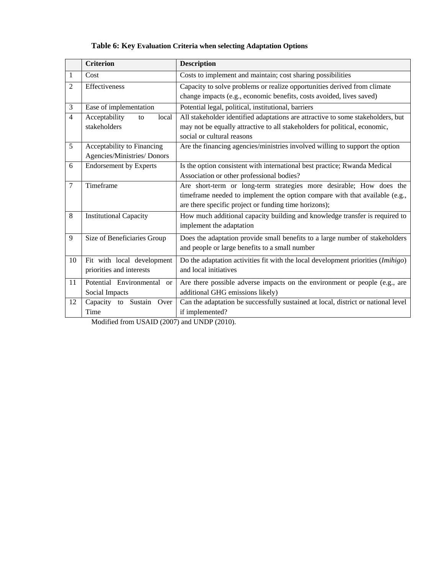### **Table 6: Key Evaluation Criteria when selecting Adaptation Options**

|                | <b>Criterion</b>                     | <b>Description</b>                                                                 |
|----------------|--------------------------------------|------------------------------------------------------------------------------------|
| 1              | Cost                                 | Costs to implement and maintain; cost sharing possibilities                        |
| $\overline{2}$ | Effectiveness                        | Capacity to solve problems or realize opportunities derived from climate           |
|                |                                      | change impacts (e.g., economic benefits, costs avoided, lives saved)               |
| 3              | Ease of implementation               | Potential legal, political, institutional, barriers                                |
| $\overline{4}$ | Acceptability<br>local<br>to         | All stakeholder identified adaptations are attractive to some stakeholders, but    |
|                | stakeholders                         | may not be equally attractive to all stakeholders for political, economic,         |
|                |                                      | social or cultural reasons                                                         |
| 5              | Acceptability to Financing           | Are the financing agencies/ministries involved willing to support the option       |
|                | Agencies/Ministries/Donors           |                                                                                    |
| 6              | <b>Endorsement by Experts</b>        | Is the option consistent with international best practice; Rwanda Medical          |
|                |                                      | Association or other professional bodies?                                          |
| 7              | Timeframe                            | Are short-term or long-term strategies more desirable; How does the                |
|                |                                      | timeframe needed to implement the option compare with that available (e.g.,        |
|                |                                      | are there specific project or funding time horizons);                              |
| 8              | <b>Institutional Capacity</b>        | How much additional capacity building and knowledge transfer is required to        |
|                |                                      | implement the adaptation                                                           |
| 9              | Size of Beneficiaries Group          | Does the adaptation provide small benefits to a large number of stakeholders       |
|                |                                      | and people or large benefits to a small number                                     |
| 10             | Fit with local development           | Do the adaptation activities fit with the local development priorities $(Imihigo)$ |
|                | priorities and interests             | and local initiatives                                                              |
| 11             | Potential Environmental<br><b>or</b> | Are there possible adverse impacts on the environment or people (e.g., are         |
|                | Social Impacts                       | additional GHG emissions likely)                                                   |
| 12             | Capacity to Sustain Over             | Can the adaptation be successfully sustained at local, district or national level  |
|                | Time                                 | if implemented?                                                                    |

Modified from USAID (2007) and UNDP (2010).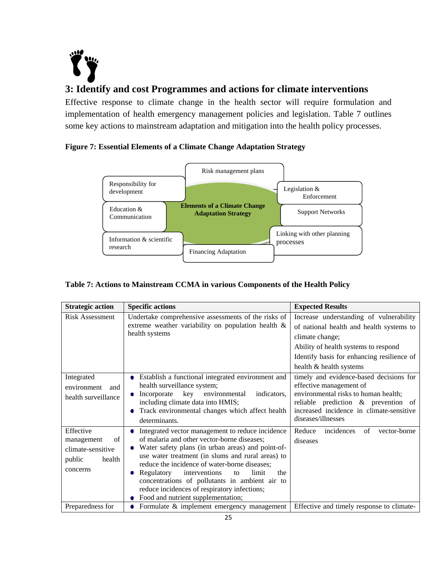

### **3: Identify and cost Programmes and actions for climate interventions**

Effective response to climate change in the health sector will require formulation and implementation of health emergency management policies and legislation. Table 7 outlines some key actions to mainstream adaptation and mitigation into the health policy processes.

### **Figure 7: Essential Elements of a Climate Change Adaptation Strategy**



### **Table 7: Actions to Mainstream CCMA in various Components of the Health Policy**

| <b>Strategic action</b>                                                            | <b>Specific actions</b>                                                                                                                                                                                                                                                                                                                                                                                                                                          | <b>Expected Results</b>                                                                                                                                                                                                 |
|------------------------------------------------------------------------------------|------------------------------------------------------------------------------------------------------------------------------------------------------------------------------------------------------------------------------------------------------------------------------------------------------------------------------------------------------------------------------------------------------------------------------------------------------------------|-------------------------------------------------------------------------------------------------------------------------------------------------------------------------------------------------------------------------|
| <b>Risk Assessment</b>                                                             | Undertake comprehensive assessments of the risks of<br>extreme weather variability on population health &<br>health systems                                                                                                                                                                                                                                                                                                                                      | Increase understanding of vulnerability<br>of national health and health systems to<br>climate change;<br>Ability of health systems to respond<br>Identify basis for enhancing resilience of<br>health & health systems |
| Integrated<br>environment<br>and<br>health surveillance                            | • Establish a functional integrated environment and<br>health surveillance system;<br>Incorporate<br>key<br>environmental<br>indicators,<br>including climate data into HMIS;<br>Track environmental changes which affect health<br>determinants.                                                                                                                                                                                                                | timely and evidence-based decisions for<br>effective management of<br>environmental risks to human health;<br>reliable prediction & prevention of<br>increased incidence in climate-sensitive<br>diseases/illnesses     |
| Effective<br>of<br>management<br>climate-sensitive<br>public<br>health<br>concerns | Integrated vector management to reduce incidence<br>۰<br>of malaria and other vector-borne diseases;<br>Water safety plans (in urban areas) and point-of-<br>use water treatment (in slums and rural areas) to<br>reduce the incidence of water-borne diseases;<br>• Regulatory<br>interventions<br>limit<br>the<br>to<br>concentrations of pollutants in ambient air to<br>reduce incidences of respiratory infections;<br>• Food and nutrient supplementation; | Reduce<br>incidences<br>vector-borne<br>of<br>diseases                                                                                                                                                                  |
| Preparedness for                                                                   | • Formulate $&$ implement emergency management                                                                                                                                                                                                                                                                                                                                                                                                                   | Effective and timely response to climate-                                                                                                                                                                               |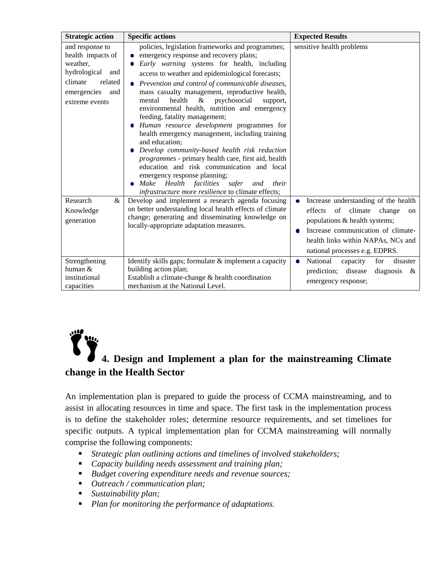| <b>Strategic action</b>                                                                                                            | <b>Specific actions</b>                                                                                                                                                                                                                                                                                                                                                                                                                                                                                                                                                                                                                                                                                                                                                                                                                                    | <b>Expected Results</b>                                                                                                                                                                                                                              |
|------------------------------------------------------------------------------------------------------------------------------------|------------------------------------------------------------------------------------------------------------------------------------------------------------------------------------------------------------------------------------------------------------------------------------------------------------------------------------------------------------------------------------------------------------------------------------------------------------------------------------------------------------------------------------------------------------------------------------------------------------------------------------------------------------------------------------------------------------------------------------------------------------------------------------------------------------------------------------------------------------|------------------------------------------------------------------------------------------------------------------------------------------------------------------------------------------------------------------------------------------------------|
| and response to<br>health impacts of<br>weather,<br>hydrological and<br>climate<br>related<br>emergencies<br>and<br>extreme events | policies, legislation frameworks and programmes;<br>emergency response and recovery plans;<br>Early warning systems for health, including<br>access to weather and epidemiological forecasts;<br>• Prevention and control of communicable diseases,<br>mass casualty management, reproductive health,<br>psychosocial<br>health<br>&<br>mental<br>support,<br>environmental health, nutrition and emergency<br>feeding, fatality management;<br>Human resource development programmes for<br>health emergency management, including training<br>and education:<br>Develop community-based health risk reduction<br>programmes - primary health care, first aid, health<br>education and risk communication and local<br>emergency response planning;<br>Make Health facilities safer<br>and<br>their<br>infrastructure more resilience to climate effects; | sensitive health problems                                                                                                                                                                                                                            |
| Research<br>&<br>Knowledge<br>generation                                                                                           | Develop and implement a research agenda focusing<br>on better understanding local health effects of climate<br>change; generating and disseminating knowledge on<br>locally-appropriate adaptation measures.                                                                                                                                                                                                                                                                                                                                                                                                                                                                                                                                                                                                                                               | Increase understanding of the health<br>۰<br>climate<br>effects<br>of<br>change<br><sub>on</sub><br>populations & health systems;<br>Increase communication of climate-<br>O<br>health links within NAPAs, NCs and<br>national processes e.g. EDPRS. |
| Strengthening<br>human &<br>institutional<br>capacities                                                                            | Identify skills gaps; formulate & implement a capacity<br>building action plan;<br>Establish a climate-change & health coordination<br>mechanism at the National Level.                                                                                                                                                                                                                                                                                                                                                                                                                                                                                                                                                                                                                                                                                    | National<br>capacity<br>for<br>disaster<br>۰<br>prediction; disease<br>diagnosis<br>- &<br>emergency response;                                                                                                                                       |

### **4. Design and Implement a plan for the mainstreaming Climate change in the Health Sector**

An implementation plan is prepared to guide the process of CCMA mainstreaming, and to assist in allocating resources in time and space. The first task in the implementation process is to define the stakeholder roles; determine resource requirements, and set timelines for specific outputs. A typical implementation plan for CCMA mainstreaming will normally comprise the following components:

- *Strategic plan outlining actions and timelines of involved stakeholders;*
- *Capacity building needs assessment and training plan;*
- *Budget covering expenditure needs and revenue sources;*
- *Outreach / communication plan;*
- *Sustainability plan;*
- *Plan for monitoring the performance of adaptations.*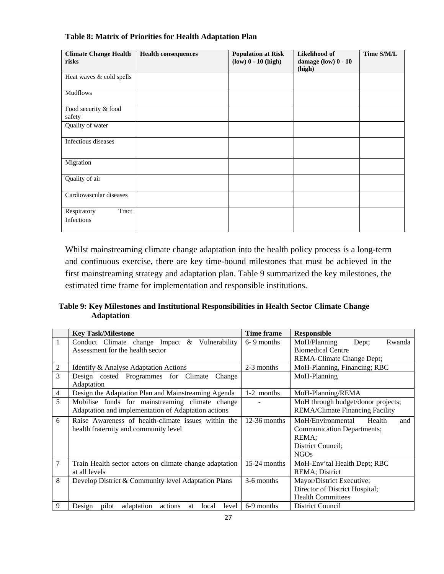| <b>Climate Change Health</b><br>risks | <b>Health consequences</b> | <b>Population at Risk</b><br>$(low)$ $0 - 10$ (high) | Likelihood of<br>damage (low) 0 - 10<br>(high) | Time S/M/L |
|---------------------------------------|----------------------------|------------------------------------------------------|------------------------------------------------|------------|
| Heat waves & cold spells              |                            |                                                      |                                                |            |
| <b>Mudflows</b>                       |                            |                                                      |                                                |            |
| Food security & food<br>safety        |                            |                                                      |                                                |            |
| Quality of water                      |                            |                                                      |                                                |            |
| Infectious diseases                   |                            |                                                      |                                                |            |
| Migration                             |                            |                                                      |                                                |            |
| Quality of air                        |                            |                                                      |                                                |            |
| Cardiovascular diseases               |                            |                                                      |                                                |            |
| Respiratory<br>Tract<br>Infections    |                            |                                                      |                                                |            |

### **Table 8: Matrix of Priorities for Health Adaptation Plan**

Whilst mainstreaming climate change adaptation into the health policy process is a long-term and continuous exercise, there are key time-bound milestones that must be achieved in the first mainstreaming strategy and adaptation plan. Table 9 summarized the key milestones, the estimated time frame for implementation and responsible institutions.

### **Table 9: Key Milestones and Institutional Responsibilities in Health Sector Climate Change Adaptation**

|   | <b>Key Task/Milestone</b>                                        | Time frame     | <b>Responsible</b>                 |
|---|------------------------------------------------------------------|----------------|------------------------------------|
| 1 | Conduct Climate change Impact & Vulnerability                    | $6 - 9$ months | Rwanda<br>MoH/Planning<br>Dept;    |
|   | Assessment for the health sector                                 |                | <b>Biomedical Centre</b>           |
|   |                                                                  |                | REMA-Climate Change Dept;          |
| 2 | Identify & Analyse Adaptation Actions                            | 2-3 months     | MoH-Planning, Financing; RBC       |
| 3 | Design costed Programmes for Climate<br>Change                   |                | MoH-Planning                       |
|   | Adaptation                                                       |                |                                    |
| 4 | Design the Adaptation Plan and Mainstreaming Agenda              | 1-2 months     | MoH-Planning/REMA                  |
| 5 | Mobilise funds for mainstreaming climate change                  |                | MoH through budget/donor projects; |
|   | Adaptation and implementation of Adaptation actions              |                | REMA/Climate Financing Facility    |
| 6 | Raise Awareness of health-climate issues within the              | $12-36$ months | MoH/Environmental<br>Health<br>and |
|   | health fraternity and community level                            |                | <b>Communication Departments;</b>  |
|   |                                                                  |                | REMA:                              |
|   |                                                                  |                | District Council:                  |
|   |                                                                  |                | <b>NGOs</b>                        |
| 7 | Train Health sector actors on climate change adaptation          | $15-24$ months | MoH-Env'tal Health Dept; RBC       |
|   | at all levels                                                    |                | REMA; District                     |
| 8 | Develop District & Community level Adaptation Plans              | 3-6 months     | Mayor/District Executive;          |
|   |                                                                  |                | Director of District Hospital;     |
|   |                                                                  |                | <b>Health Committees</b>           |
| 9 | adaptation<br>pilot<br>actions<br>Design<br>local<br>level<br>at | 6-9 months     | District Council                   |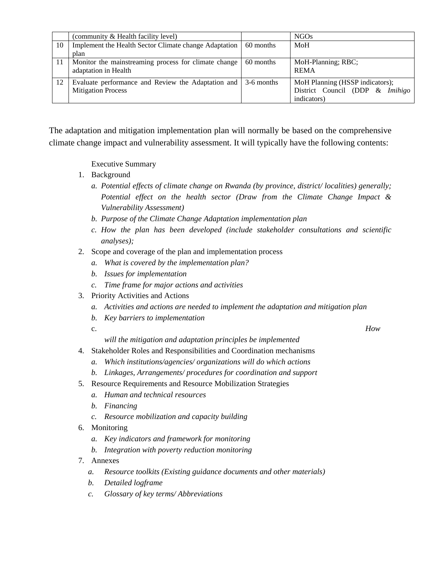|    | (community & Health facility level)                             |           | NGO <sub>s</sub>                |
|----|-----------------------------------------------------------------|-----------|---------------------------------|
| 10 | Implement the Health Sector Climate change Adaptation           | 60 months | MoH                             |
|    | plan                                                            |           |                                 |
|    | Monitor the mainstreaming process for climate change            | 60 months | MoH-Planning; RBC;              |
|    | adaptation in Health                                            |           | <b>REMA</b>                     |
| 12 | Evaluate performance and Review the Adaptation and 1 3-6 months |           | MoH Planning (HSSP indicators); |
|    | <b>Mitigation Process</b>                                       |           | District Council (DDP & Imihigo |
|    |                                                                 |           | indicators)                     |

The adaptation and mitigation implementation plan will normally be based on the comprehensive climate change impact and vulnerability assessment. It will typically have the following contents:

Executive Summary

- 1. Background
	- *a. Potential effects of climate change on Rwanda (by province, district/ localities) generally; Potential effect on the health sector (Draw from the Climate Change Impact & Vulnerability Assessment)*
	- *b. Purpose of the Climate Change Adaptation implementation plan*
	- *c. How the plan has been developed (include stakeholder consultations and scientific analyses);*
- 2. Scope and coverage of the plan and implementation process
	- *a. What is covered by the implementation plan?*
	- *b. Issues for implementation*
	- *c. Time frame for major actions and activities*
- 3. Priority Activities and Actions
	- *a. Activities and actions are needed to implement the adaptation and mitigation plan*
	- *b. Key barriers to implementation*
	-

c. *How* 

- *will the mitigation and adaptation principles be implemented*
- 4. Stakeholder Roles and Responsibilities and Coordination mechanisms
	- *a. Which institutions/agencies/ organizations will do which actions*
	- *b. Linkages, Arrangements/ procedures for coordination and support*
- 5. Resource Requirements and Resource Mobilization Strategies
	- *a. Human and technical resources*
	- *b. Financing*
	- *c. Resource mobilization and capacity building*
- 6. Monitoring
	- *a. Key indicators and framework for monitoring*
	- *b. Integration with poverty reduction monitoring*
- 7. Annexes
	- *a. Resource toolkits (Existing guidance documents and other materials)*
	- *b. Detailed logframe*
	- *c. Glossary of key terms/ Abbreviations*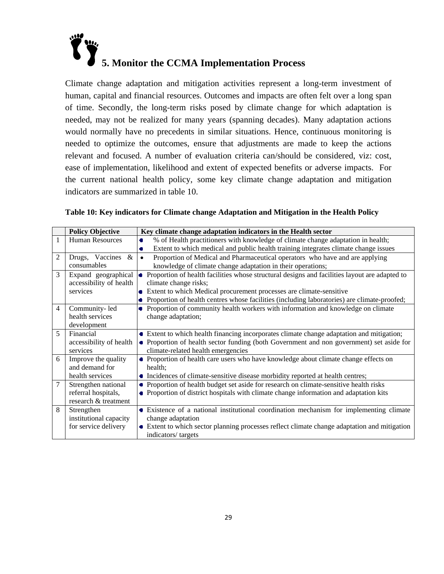

Climate change adaptation and mitigation activities represent a long-term investment of human, capital and financial resources. Outcomes and impacts are often felt over a long span of time. Secondly, the long-term risks posed by climate change for which adaptation is needed, may not be realized for many years (spanning decades). Many adaptation actions would normally have no precedents in similar situations. Hence, continuous monitoring is needed to optimize the outcomes, ensure that adjustments are made to keep the actions relevant and focused. A number of evaluation criteria can/should be considered, viz: cost, ease of implementation, likelihood and extent of expected benefits or adverse impacts. For the current national health policy, some key climate change adaptation and mitigation indicators are summarized in table 10.

|                | <b>Policy Objective</b> | Key climate change adaptation indicators in the Health sector                                              |
|----------------|-------------------------|------------------------------------------------------------------------------------------------------------|
| 1              | <b>Human Resources</b>  | % of Health practitioners with knowledge of climate change adaptation in health;<br>$\bullet$              |
|                |                         | Extent to which medical and public health training integrates climate change issues<br>٠                   |
| $\overline{2}$ | $\&$<br>Drugs, Vaccines | Proportion of Medical and Pharmaceutical operators who have and are applying<br>$\bullet$                  |
|                | consumables             | knowledge of climate change adaptation in their operations;                                                |
| $\overline{3}$ | Expand geographical     | Proportion of health facilities whose structural designs and facilities layout are adapted to<br>$\bullet$ |
|                | accessibility of health | climate change risks;                                                                                      |
|                | services                | Extent to which Medical procurement processes are climate-sensitive<br>$\blacksquare$                      |
|                |                         | Proportion of health centres whose facilities (including laboratories) are climate-proofed;<br>۰           |
| 4              | Community-led           | Proportion of community health workers with information and knowledge on climate<br>۰                      |
|                | health services         | change adaptation;                                                                                         |
|                | development             |                                                                                                            |
| 5              | Financial               | • Extent to which health financing incorporates climate change adaptation and mitigation;                  |
|                | accessibility of health | • Proportion of health sector funding (both Government and non government) set aside for                   |
|                | services                | climate-related health emergencies                                                                         |
| 6              | Improve the quality     | • Proportion of health care users who have knowledge about climate change effects on                       |
|                | and demand for          | health;                                                                                                    |
|                | health services         | • Incidences of climate-sensitive disease morbidity reported at health centres;                            |
| 7              | Strengthen national     | • Proportion of health budget set aside for research on climate-sensitive health risks                     |
|                | referral hospitals,     | • Proportion of district hospitals with climate change information and adaptation kits                     |
|                | research & treatment    |                                                                                                            |
| 8              | Strengthen              | • Existence of a national institutional coordination mechanism for implementing climate                    |
|                | institutional capacity  | change adaptation                                                                                          |
|                | for service delivery    | • Extent to which sector planning processes reflect climate change adaptation and mitigation               |
|                |                         | indicators/targets                                                                                         |

|  |  | Table 10: Key indicators for Climate change Adaptation and Mitigation in the Health Policy |
|--|--|--------------------------------------------------------------------------------------------|
|  |  |                                                                                            |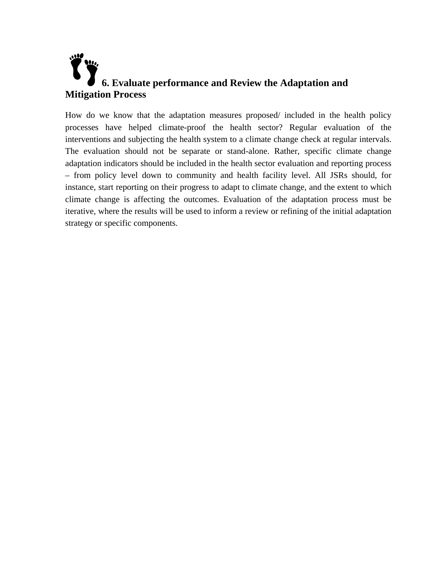## **6. Evaluate performance and Review the Adaptation and Mitigation Process**

How do we know that the adaptation measures proposed/ included in the health policy processes have helped climate-proof the health sector? Regular evaluation of the interventions and subjecting the health system to a climate change check at regular intervals. The evaluation should not be separate or stand-alone. Rather, specific climate change adaptation indicators should be included in the health sector evaluation and reporting process – from policy level down to community and health facility level. All JSRs should, for instance, start reporting on their progress to adapt to climate change, and the extent to which climate change is affecting the outcomes. Evaluation of the adaptation process must be iterative, where the results will be used to inform a review or refining of the initial adaptation strategy or specific components.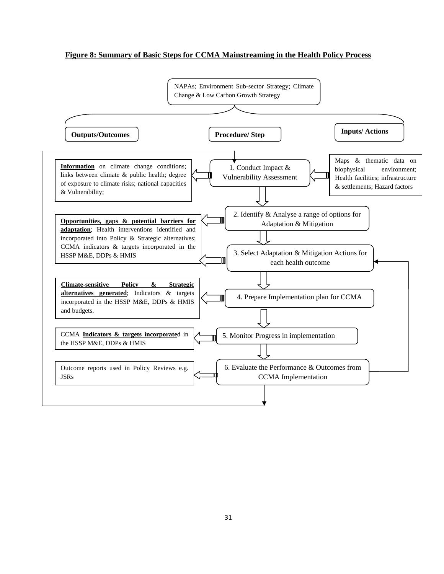### **Figure 8: Summary of Basic Steps for CCMA Mainstreaming in the Health Policy Process**

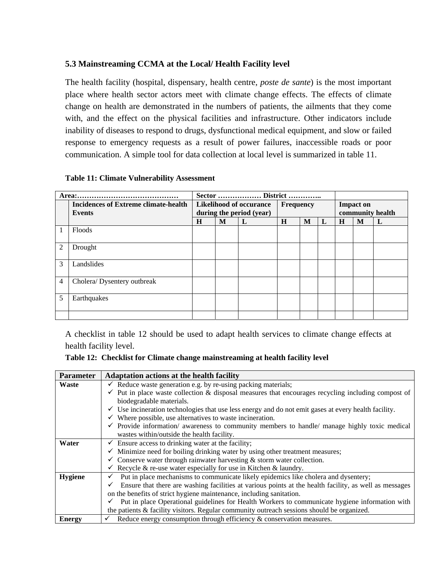### **5.3 Mainstreaming CCMA at the Local/ Health Facility level**

The health facility (hospital, dispensary, health centre, *poste de sante*) is the most important place where health sector actors meet with climate change effects. The effects of climate change on health are demonstrated in the numbers of patients, the ailments that they come with, and the effect on the physical facilities and infrastructure. Other indicators include inability of diseases to respond to drugs, dysfunctional medical equipment, and slow or failed response to emergency requests as a result of power failures, inaccessible roads or poor communication. A simple tool for data collection at local level is summarized in table 11.

|  |  | <b>Table 11: Climate Vulnerability Assessment</b> |  |
|--|--|---------------------------------------------------|--|
|--|--|---------------------------------------------------|--|

|                | Area:                                |             | Sector  District |                                |                  |   |   |   |                  |                  |
|----------------|--------------------------------------|-------------|------------------|--------------------------------|------------------|---|---|---|------------------|------------------|
|                | Incidences of Extreme climate-health |             |                  | <b>Likelihood of occurance</b> | <b>Frequency</b> |   |   |   | <b>Impact on</b> |                  |
|                | Events                               |             |                  | during the period (year)       |                  |   |   |   |                  | community health |
|                |                                      | $\mathbf H$ | M                | L                              | H                | M | L | H | M                | L                |
|                | Floods                               |             |                  |                                |                  |   |   |   |                  |                  |
| $\overline{2}$ | Drought                              |             |                  |                                |                  |   |   |   |                  |                  |
| 3              | Landslides                           |             |                  |                                |                  |   |   |   |                  |                  |
| $\overline{4}$ | Cholera/Dysentery outbreak           |             |                  |                                |                  |   |   |   |                  |                  |
| 5              | Earthquakes                          |             |                  |                                |                  |   |   |   |                  |                  |
|                |                                      |             |                  |                                |                  |   |   |   |                  |                  |

A checklist in table 12 should be used to adapt health services to climate change effects at health facility level.

|  |  |  |  |  |  | Table 12: Checklist for Climate change mainstreaming at health facility level |
|--|--|--|--|--|--|-------------------------------------------------------------------------------|
|--|--|--|--|--|--|-------------------------------------------------------------------------------|

| <b>Parameter</b> | Adaptation actions at the health facility                                                                       |  |  |  |  |  |
|------------------|-----------------------------------------------------------------------------------------------------------------|--|--|--|--|--|
| Waste            | $\checkmark$ Reduce waste generation e.g. by re-using packing materials;                                        |  |  |  |  |  |
|                  | $\checkmark$ Put in place waste collection & disposal measures that encourages recycling including compost of   |  |  |  |  |  |
|                  | biodegradable materials.                                                                                        |  |  |  |  |  |
|                  | $\checkmark$ Use incineration technologies that use less energy and do not emit gases at every health facility. |  |  |  |  |  |
|                  | $\checkmark$ Where possible, use alternatives to waste incineration.                                            |  |  |  |  |  |
|                  | $\checkmark$ Provide information/ awareness to community members to handle/ manage highly toxic medical         |  |  |  |  |  |
|                  | wastes within/outside the health facility.                                                                      |  |  |  |  |  |
| Water            | $\checkmark$ Ensure access to drinking water at the facility;                                                   |  |  |  |  |  |
|                  | $\checkmark$ Minimize need for boiling drinking water by using other treatment measures;                        |  |  |  |  |  |
|                  | $\checkmark$ Conserve water through rainwater harvesting & storm water collection.                              |  |  |  |  |  |
|                  | Recycle & re-use water especially for use in Kitchen & laundry.                                                 |  |  |  |  |  |
| <b>Hygiene</b>   | Put in place mechanisms to communicate likely epidemics like cholera and dysentery;<br>✓                        |  |  |  |  |  |
|                  | Ensure that there are washing facilities at various points at the health facility, as well as messages<br>✓     |  |  |  |  |  |
|                  | on the benefits of strict hygiene maintenance, including sanitation.                                            |  |  |  |  |  |
|                  | Put in place Operational guidelines for Health Workers to communicate hygiene information with<br>✓             |  |  |  |  |  |
|                  | the patients & facility visitors. Regular community outreach sessions should be organized.                      |  |  |  |  |  |
| <b>Energy</b>    | Reduce energy consumption through efficiency $\&$ conservation measures.<br>$\checkmark$                        |  |  |  |  |  |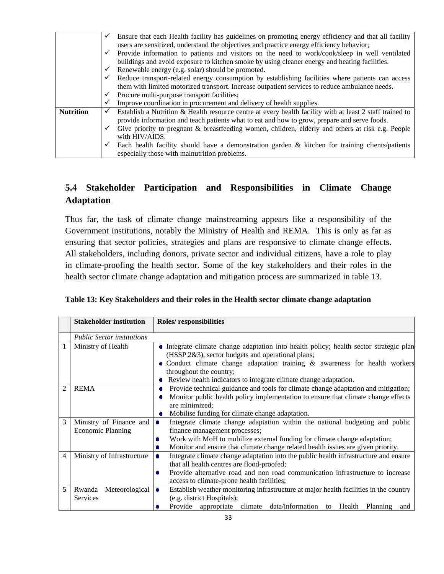|                  |                                                                                                  | Ensure that each Health facility has guidelines on promoting energy efficiency and that all facility     |  |  |  |
|------------------|--------------------------------------------------------------------------------------------------|----------------------------------------------------------------------------------------------------------|--|--|--|
|                  | users are sensitized, understand the objectives and practice energy efficiency behavior;         |                                                                                                          |  |  |  |
|                  |                                                                                                  | Provide information to patients and visitors on the need to work/cook/sleep in well ventilated           |  |  |  |
|                  |                                                                                                  | buildings and avoid exposure to kitchen smoke by using cleaner energy and heating facilities.            |  |  |  |
|                  |                                                                                                  | Renewable energy (e.g. solar) should be promoted.                                                        |  |  |  |
|                  | Reduce transport-related energy consumption by establishing facilities where patients can access |                                                                                                          |  |  |  |
|                  | them with limited motorized transport. Increase outpatient services to reduce ambulance needs.   |                                                                                                          |  |  |  |
|                  |                                                                                                  | Procure multi-purpose transport facilities;                                                              |  |  |  |
|                  |                                                                                                  | Improve coordination in procurement and delivery of health supplies.                                     |  |  |  |
| <b>Nutrition</b> | $\checkmark$                                                                                     | Establish a Nutrition & Health resource centre at every health facility with at least 2 staff trained to |  |  |  |
|                  |                                                                                                  | provide information and teach patients what to eat and how to grow, prepare and serve foods.             |  |  |  |
|                  |                                                                                                  | Give priority to pregnant & breastfeeding women, children, elderly and others at risk e.g. People        |  |  |  |
|                  |                                                                                                  | with HIV/AIDS.                                                                                           |  |  |  |
|                  |                                                                                                  | Each health facility should have a demonstration garden $\&$ kitchen for training clients/patients       |  |  |  |
|                  |                                                                                                  | especially those with malnutrition problems.                                                             |  |  |  |

### **5.4 Stakeholder Participation and Responsibilities in Climate Change Adaptation**

Thus far, the task of climate change mainstreaming appears like a responsibility of the Government institutions, notably the Ministry of Health and REMA. This is only as far as ensuring that sector policies, strategies and plans are responsive to climate change effects. All stakeholders, including donors, private sector and individual citizens, have a role to play in climate-proofing the health sector. Some of the key stakeholders and their roles in the health sector climate change adaptation and mitigation process are summarized in table 13.

|                | <b>Stakeholder institution</b>                      | Roles/responsibilities                                                                                                                                                                                                                                                                                                    |  |  |  |  |
|----------------|-----------------------------------------------------|---------------------------------------------------------------------------------------------------------------------------------------------------------------------------------------------------------------------------------------------------------------------------------------------------------------------------|--|--|--|--|
|                | <b>Public Sector institutions</b>                   |                                                                                                                                                                                                                                                                                                                           |  |  |  |  |
|                | Ministry of Health                                  | • Integrate climate change adaptation into health policy; health sector strategic plan<br>(HSSP 2&3), sector budgets and operational plans;<br>• Conduct climate change adaptation training & awareness for health workers<br>throughout the country;<br>Review health indicators to integrate climate change adaptation. |  |  |  |  |
| 2              | <b>REMA</b>                                         | Provide technical guidance and tools for climate change adaptation and mitigation;<br>Monitor public health policy implementation to ensure that climate change effects<br>are minimized;<br>Mobilise funding for climate change adaptation.                                                                              |  |  |  |  |
| 3              | Ministry of Finance and<br><b>Economic Planning</b> | Integrate climate change adaptation within the national budgeting and public<br>$\bullet$<br>finance management processes;<br>Work with MoH to mobilize external funding for climate change adaptation;<br>Monitor and ensure that climate change related health issues are given priority.<br>۰                          |  |  |  |  |
| $\overline{4}$ | Ministry of Infrastructure                          | Integrate climate change adaptation into the public health infrastructure and ensure<br>۰<br>that all health centres are flood-proofed;<br>Provide alternative road and non road communication infrastructure to increase<br>۰<br>access to climate-prone health facilities;                                              |  |  |  |  |
| 5              | Meteorological<br>Rwanda<br>Services                | Establish weather monitoring infrastructure at major health facilities in the country<br>$\bullet$<br>(e.g. district Hospitals);<br>Provide<br>data/information<br>appropriate<br>climate<br>Health<br><b>Planning</b><br>to<br>and                                                                                       |  |  |  |  |

|  |  | Table 13: Key Stakeholders and their roles in the Health sector climate change adaptation |
|--|--|-------------------------------------------------------------------------------------------|
|--|--|-------------------------------------------------------------------------------------------|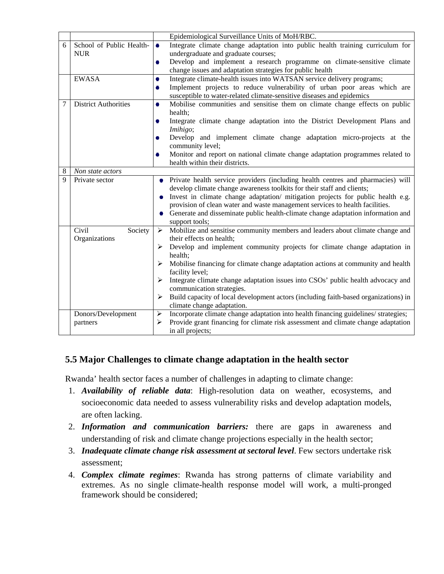|   |                                                                                                                 |           | Epidemiological Surveillance Units of MoH/RBC.                                                                   |  |
|---|-----------------------------------------------------------------------------------------------------------------|-----------|------------------------------------------------------------------------------------------------------------------|--|
| 6 | School of Public Health-                                                                                        | $\bullet$ | Integrate climate change adaptation into public health training curriculum for                                   |  |
|   | <b>NUR</b>                                                                                                      |           | undergraduate and graduate courses;                                                                              |  |
|   |                                                                                                                 | ۰         | Develop and implement a research programme on climate-sensitive climate                                          |  |
|   |                                                                                                                 |           | change issues and adaptation strategies for public health                                                        |  |
|   | <b>EWASA</b>                                                                                                    | ۰         | Integrate climate-health issues into WATSAN service delivery programs;                                           |  |
|   |                                                                                                                 | ۰         | Implement projects to reduce vulnerability of urban poor areas which are                                         |  |
|   |                                                                                                                 |           | susceptible to water-related climate-sensitive diseases and epidemics                                            |  |
| 7 | <b>District Authorities</b><br>Mobilise communities and sensitise them on climate change effects on public<br>۰ |           |                                                                                                                  |  |
|   |                                                                                                                 |           | health:                                                                                                          |  |
|   |                                                                                                                 | ۰         | Integrate climate change adaptation into the District Development Plans and                                      |  |
|   |                                                                                                                 |           | Imihigo;                                                                                                         |  |
|   |                                                                                                                 | ۰         | Develop and implement climate change adaptation micro-projects at the                                            |  |
|   |                                                                                                                 |           | community level;                                                                                                 |  |
|   |                                                                                                                 | ۰         | Monitor and report on national climate change adaptation programmes related to<br>health within their districts. |  |
| 8 | Non state actors                                                                                                |           |                                                                                                                  |  |
| 9 | Private sector                                                                                                  |           | Private health service providers (including health centres and pharmacies) will                                  |  |
|   |                                                                                                                 |           | develop climate change awareness toolkits for their staff and clients;                                           |  |
|   |                                                                                                                 |           | Invest in climate change adaptation/ mitigation projects for public health e.g.                                  |  |
|   |                                                                                                                 |           | provision of clean water and waste management services to health facilities.                                     |  |
|   |                                                                                                                 |           | Generate and disseminate public health-climate change adaptation information and                                 |  |
|   |                                                                                                                 |           | support tools;                                                                                                   |  |
|   | Civil<br>Society                                                                                                | ⋗         | Mobilize and sensitise community members and leaders about climate change and                                    |  |
|   | Organizations                                                                                                   |           | their effects on health;                                                                                         |  |
|   |                                                                                                                 | ➤         | Develop and implement community projects for climate change adaptation in                                        |  |
|   |                                                                                                                 |           | health;                                                                                                          |  |
|   |                                                                                                                 | ➤         | Mobilise financing for climate change adaptation actions at community and health                                 |  |
|   |                                                                                                                 |           | facility level;                                                                                                  |  |
|   |                                                                                                                 | ➤         | Integrate climate change adaptation issues into CSOs' public health advocacy and                                 |  |
|   |                                                                                                                 |           | communication strategies.                                                                                        |  |
|   |                                                                                                                 | ➤         | Build capacity of local development actors (including faith-based organizations) in                              |  |
|   |                                                                                                                 |           | climate change adaptation.                                                                                       |  |
|   | Donors/Development                                                                                              | ➤         | Incorporate climate change adaptation into health financing guidelines/ strategies;                              |  |
|   | partners                                                                                                        | ➤         | Provide grant financing for climate risk assessment and climate change adaptation                                |  |
|   |                                                                                                                 |           | in all projects;                                                                                                 |  |

### **5.5 Major Challenges to climate change adaptation in the health sector**

Rwanda' health sector faces a number of challenges in adapting to climate change:

- 1. *Availability of reliable data*: High-resolution data on weather, ecosystems, and socioeconomic data needed to assess vulnerability risks and develop adaptation models, are often lacking.
- 2. *Information and communication barriers:* there are gaps in awareness and understanding of risk and climate change projections especially in the health sector;
- 3. *Inadequate climate change risk assessment at sectoral level*. Few sectors undertake risk assessment;
- 4. *Complex climate regimes*: Rwanda has strong patterns of climate variability and extremes. As no single climate-health response model will work, a multi-pronged framework should be considered;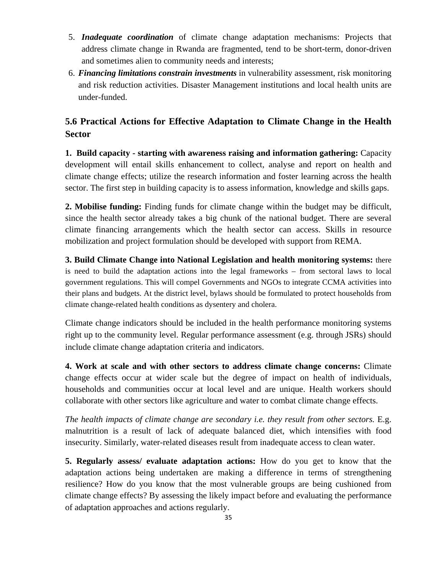- 5. *Inadequate coordination* of climate change adaptation mechanisms: Projects that address climate change in Rwanda are fragmented, tend to be short-term, donor-driven and sometimes alien to community needs and interests;
- 6. *Financing limitations constrain investments* in vulnerability assessment, risk monitoring and risk reduction activities. Disaster Management institutions and local health units are under-funded.

### **5.6 Practical Actions for Effective Adaptation to Climate Change in the Health Sector**

**1. Build capacity - starting with awareness raising and information gathering:** Capacity development will entail skills enhancement to collect, analyse and report on health and climate change effects; utilize the research information and foster learning across the health sector. The first step in building capacity is to assess information, knowledge and skills gaps.

**2. Mobilise funding:** Finding funds for climate change within the budget may be difficult, since the health sector already takes a big chunk of the national budget. There are several climate financing arrangements which the health sector can access. Skills in resource mobilization and project formulation should be developed with support from REMA.

**3. Build Climate Change into National Legislation and health monitoring systems:** there is need to build the adaptation actions into the legal frameworks – from sectoral laws to local government regulations. This will compel Governments and NGOs to integrate CCMA activities into their plans and budgets. At the district level, bylaws should be formulated to protect households from climate change-related health conditions as dysentery and cholera.

Climate change indicators should be included in the health performance monitoring systems right up to the community level. Regular performance assessment (e.g. through JSRs) should include climate change adaptation criteria and indicators.

**4. Work at scale and with other sectors to address climate change concerns:** Climate change effects occur at wider scale but the degree of impact on health of individuals, households and communities occur at local level and are unique. Health workers should collaborate with other sectors like agriculture and water to combat climate change effects.

*The health impacts of climate change are secondary i.e. they result from other sectors.* E.g. malnutrition is a result of lack of adequate balanced diet, which intensifies with food insecurity. Similarly, water-related diseases result from inadequate access to clean water.

**5. Regularly assess/ evaluate adaptation actions:** How do you get to know that the adaptation actions being undertaken are making a difference in terms of strengthening resilience? How do you know that the most vulnerable groups are being cushioned from climate change effects? By assessing the likely impact before and evaluating the performance of adaptation approaches and actions regularly.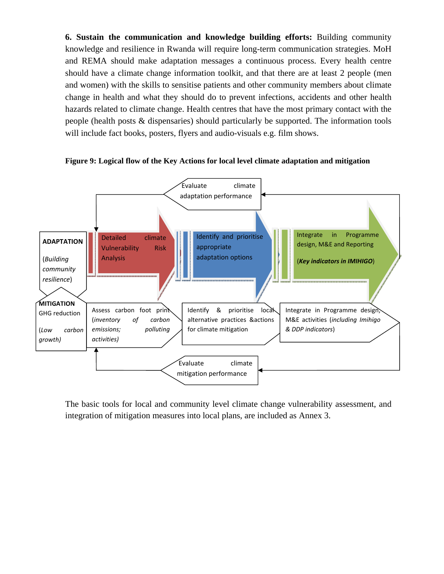**6. Sustain the communication and knowledge building efforts:** Building community knowledge and resilience in Rwanda will require long-term communication strategies. MoH and REMA should make adaptation messages a continuous process. Every health centre should have a climate change information toolkit, and that there are at least 2 people (men and women) with the skills to sensitise patients and other community members about climate change in health and what they should do to prevent infections, accidents and other health hazards related to climate change. Health centres that have the most primary contact with the people (health posts & dispensaries) should particularly be supported. The information tools will include fact books, posters, flyers and audio-visuals e.g. film shows.



**Figure 9: Logical flow of the Key Actions for local level climate adaptation and mitigation** 

The basic tools for local and community level climate change vulnerability assessment, and integration of mitigation measures into local plans, are included as Annex 3.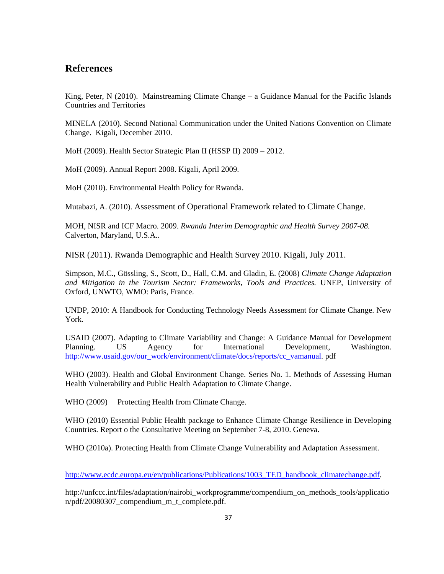### **References**

King, Peter, N (2010). Mainstreaming Climate Change – a Guidance Manual for the Pacific Islands Countries and Territories

MINELA (2010). Second National Communication under the United Nations Convention on Climate Change. Kigali, December 2010.

MoH (2009). Health Sector Strategic Plan II (HSSP II) 2009 – 2012.

MoH (2009). Annual Report 2008. Kigali, April 2009.

MoH (2010). Environmental Health Policy for Rwanda.

Mutabazi, A. (2010). Assessment of Operational Framework related to Climate Change.

MOH, NISR and ICF Macro. 2009. *Rwanda Interim Demographic and Health Survey 2007-08.*  Calverton, Maryland, U.S.A..

NISR (2011). Rwanda Demographic and Health Survey 2010. Kigali, July 2011.

Simpson, M.C., Gössling, S., Scott, D., Hall, C.M. and Gladin, E. (2008) *Climate Change Adaptation and Mitigation in the Tourism Sector: Frameworks, Tools and Practices.* UNEP, University of Oxford, UNWTO, WMO: Paris, France.

UNDP, 2010: A Handbook for Conducting Technology Needs Assessment for Climate Change. New York.

USAID (2007). Adapting to Climate Variability and Change: A Guidance Manual for Development Planning. US Agency for International Development, Washington. http://www.usaid.gov/our\_work/environment/climate/docs/reports/cc\_vamanual. pdf

WHO (2003). Health and Global Environment Change. Series No. 1. Methods of Assessing Human Health Vulnerability and Public Health Adaptation to Climate Change.

WHO (2009) Protecting Health from Climate Change.

WHO (2010) Essential Public Health package to Enhance Climate Change Resilience in Developing Countries. Report o the Consultative Meeting on September 7-8, 2010. Geneva.

WHO (2010a). Protecting Health from Climate Change Vulnerability and Adaptation Assessment.

http://www.ecdc.europa.eu/en/publications/Publications/1003\_TED\_handbook\_climatechange.pdf.

http://unfccc.int/files/adaptation/nairobi\_workprogramme/compendium\_on\_methods\_tools/applicatio n/pdf/20080307\_compendium\_m\_t\_complete.pdf.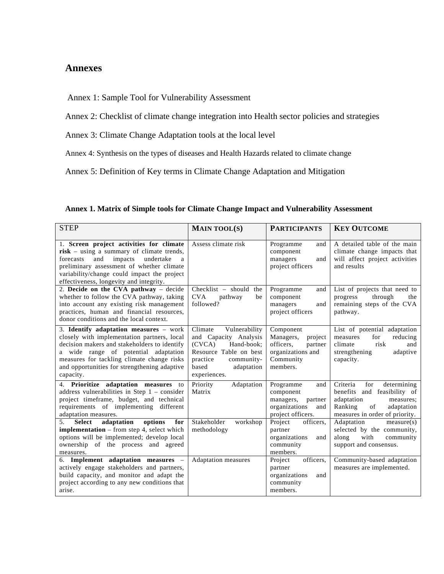### **Annexes**

Annex 1: Sample Tool for Vulnerability Assessment

Annex 2: Checklist of climate change integration into Health sector policies and strategies

Annex 3: Climate Change Adaptation tools at the local level

Annex 4: Synthesis on the types of diseases and Health Hazards related to climate change

Annex 5: Definition of Key terms in Climate Change Adaptation and Mitigation

| <b>STEP</b>                                                                                                                                                                                                                                                                              | <b>MAIN TOOL(S)</b>                                                                                                                                                  | <b>PARTICIPANTS</b>                                                                                     | <b>KEY OUTCOME</b>                                                                                                                                        |
|------------------------------------------------------------------------------------------------------------------------------------------------------------------------------------------------------------------------------------------------------------------------------------------|----------------------------------------------------------------------------------------------------------------------------------------------------------------------|---------------------------------------------------------------------------------------------------------|-----------------------------------------------------------------------------------------------------------------------------------------------------------|
|                                                                                                                                                                                                                                                                                          |                                                                                                                                                                      |                                                                                                         |                                                                                                                                                           |
| 1. Screen project activities for climate<br>risk – using a summary of climate trends,<br>impacts<br>and<br>undertake<br>forecasts<br>a<br>preliminary assessment of whether climate<br>variability/change could impact the project<br>effectiveness, longevity and integrity.            | Assess climate risk                                                                                                                                                  | Programme<br>and<br>component<br>managers<br>and<br>project officers                                    | A detailed table of the main<br>climate change impacts that<br>will affect project activities<br>and results                                              |
| 2. Decide on the CVA pathway - decide<br>whether to follow the CVA pathway, taking<br>into account any existing risk management<br>practices, human and financial resources,<br>donor conditions and the local context.                                                                  | $Checklist - should$<br>the<br><b>CVA</b><br>pathway<br>be<br>followed?                                                                                              | Programme<br>and<br>component<br>managers<br>and<br>project officers                                    | List of projects that need to<br>through<br>progress<br>the<br>remaining steps of the CVA<br>pathway.                                                     |
| 3. Identify adaptation measures - work<br>closely with implementation partners, local<br>decision makers and stakeholders to identify<br>a wide range of potential adaptation<br>measures for tackling climate change risks<br>and opportunities for strengthening adaptive<br>capacity. | Climate<br>Vulnerability<br>and Capacity Analysis<br>(CVCA)<br>Hand-book:<br>Resource Table on best<br>practice<br>community-<br>based<br>adaptation<br>experiences. | Component<br>Managers,<br>project<br>officers.<br>partner<br>organizations and<br>Community<br>members. | List of potential adaptation<br>for<br>reducing<br>measures<br>risk<br>climate<br>and<br>strengthening<br>adaptive<br>capacity.                           |
| 4. Prioritize adaptation measures<br>to<br>address vulnerabilities in Step $1$ – consider<br>project timeframe, budget, and technical<br>requirements of implementing different<br>adaptation measures.                                                                                  | Priority<br>Adaptation<br>Matrix                                                                                                                                     | Programme<br>and<br>component<br>managers,<br>partner<br>organizations<br>and<br>project officers.      | Criteria<br>for<br>determining<br>benefits and feasibility of<br>adaptation<br>measures:<br>Ranking<br>of<br>adaptation<br>measures in order of priority. |
| adaptation<br>options<br>for<br>5 <sub>1</sub><br><b>Select</b><br>implementation - from step 4, select which<br>options will be implemented; develop local<br>ownership of the process and agreed<br>measures.                                                                          | Stakeholder<br>workshop<br>methodology                                                                                                                               | officers,<br>Project<br>partner<br>organizations<br>and<br>community<br>members.                        | Adaptation<br>measure(s)<br>selected by the community,<br>along<br>with<br>community<br>support and consensus.                                            |
| 6. Implement adaptation measures -<br>actively engage stakeholders and partners,<br>build capacity, and monitor and adapt the<br>project according to any new conditions that<br>arise.                                                                                                  | <b>Adaptation</b> measures                                                                                                                                           | Project<br>officers.<br>partner<br>organizations<br>and<br>community<br>members.                        | Community-based adaptation<br>measures are implemented.                                                                                                   |

**Annex 1. Matrix of Simple tools for Climate Change Impact and Vulnerability Assessment**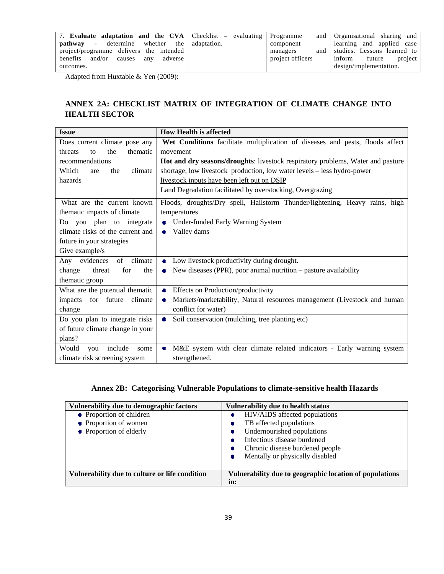| 7. Evaluate adaptation and the CVA Checklist – evaluating Programme |                  | and Organisational sharing and  |
|---------------------------------------------------------------------|------------------|---------------------------------|
| $\mathbf{path}$ whether the adaptation.                             | component        | learning and applied case       |
| project/programme delivers the intended                             | managers         | and studies. Lessons learned to |
| benefits and/or causes<br>adverse<br>any                            | project officers | project<br>inform<br>future     |
| outcomes.                                                           |                  | design/implementation.          |

Adapted from Huxtable & Yen (2009):

### **ANNEX 2A: CHECKLIST MATRIX OF INTEGRATION OF CLIMATE CHANGE INTO HEALTH SECTOR**

| <b>Issue</b>                     | <b>How Health is affected</b>                                                   |  |
|----------------------------------|---------------------------------------------------------------------------------|--|
| Does current climate pose any    | Wet Conditions facilitate multiplication of diseases and pests, floods affect   |  |
| the<br>thematic<br>threats<br>to | movement                                                                        |  |
| recommendations                  | Hot and dry seasons/droughts: livestock respiratory problems, Water and pasture |  |
| Which<br>climate<br>the<br>are   | shortage, low livestock production, low water levels - less hydro-power         |  |
| hazards                          | livestock inputs have been left out on DSIP                                     |  |
|                                  | Land Degradation facilitated by overstocking, Overgrazing                       |  |
| What are the current known       | Floods, droughts/Dry spell, Hailstorm Thunder/lightening, Heavy rains, high     |  |
| thematic impacts of climate      | temperatures                                                                    |  |
| Do you plan to integrate         | Under-funded Early Warning System<br>$\bullet$                                  |  |
| climate risks of the current and | Valley dams<br>۰                                                                |  |
| future in your strategies        |                                                                                 |  |
| Give example/s                   |                                                                                 |  |
| of climate<br>evidences<br>Any   | Low livestock productivity during drought.<br>$\bullet$                         |  |
| threat<br>for<br>the<br>change   | New diseases (PPR), poor animal nutrition $-$ pasture availability<br>۰         |  |
| thematic group                   |                                                                                 |  |
| What are the potential thematic  | <b>Effects on Production/productivity</b><br>$\bullet$                          |  |
| for future<br>impacts<br>climate | Markets/marketability, Natural resources management (Livestock and human<br>۰   |  |
| change                           | conflict for water)                                                             |  |
| Do you plan to integrate risks   | Soil conservation (mulching, tree planting etc)<br>۰                            |  |
| of future climate change in your |                                                                                 |  |
| plans?                           |                                                                                 |  |
| Would<br>include<br>you<br>some  | M&E system with clear climate related indicators - Early warning system<br>۰    |  |
| climate risk screening system    | strengthened.                                                                   |  |

### **Annex 2B: Categorising Vulnerable Populations to climate-sensitive health Hazards**

| Vulnerability due to demographic factors       | Vulnerability due to health status                      |
|------------------------------------------------|---------------------------------------------------------|
| • Proportion of children                       | HIV/AIDS affected populations                           |
| • Proportion of women                          | TB affected populations                                 |
| • Proportion of elderly                        | Undernourished populations                              |
|                                                | Infectious disease burdened                             |
|                                                | Chronic disease burdened people                         |
|                                                | Mentally or physically disabled                         |
|                                                |                                                         |
| Vulnerability due to culture or life condition | Vulnerability due to geographic location of populations |
|                                                | in:                                                     |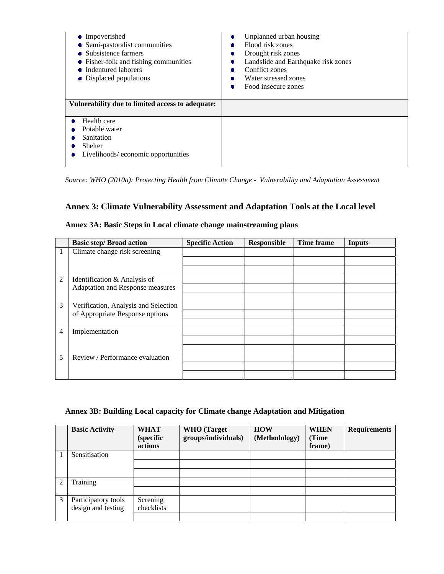| • Impoverished<br>• Semi-pastoralist communities<br>• Subsistence farmers<br>• Fisher-folk and fishing communities<br>• Indentured laborers<br>• Displaced populations | Unplanned urban housing<br>۰<br>Flood risk zones<br>۰<br>Drought risk zones<br>۰<br>Landslide and Earthquake risk zones<br>Conflict zones<br>۰<br>Water stressed zones<br>٠<br>Food insecure zones<br>۰ |
|------------------------------------------------------------------------------------------------------------------------------------------------------------------------|---------------------------------------------------------------------------------------------------------------------------------------------------------------------------------------------------------|
| Vulnerability due to limited access to adequate:                                                                                                                       |                                                                                                                                                                                                         |
| Health care                                                                                                                                                            |                                                                                                                                                                                                         |
| Potable water<br>Sanitation                                                                                                                                            |                                                                                                                                                                                                         |
| Shelter                                                                                                                                                                |                                                                                                                                                                                                         |
| Livelihoods/economic opportunities                                                                                                                                     |                                                                                                                                                                                                         |

*Source: WHO (2010a): Protecting Health from Climate Change - Vulnerability and Adaptation Assessment* 

### **Annex 3: Climate Vulnerability Assessment and Adaptation Tools at the Local level**

|                | <b>Basic step/ Broad action</b>      | <b>Specific Action</b> | <b>Responsible</b> | Time frame | Inputs |
|----------------|--------------------------------------|------------------------|--------------------|------------|--------|
|                | Climate change risk screening        |                        |                    |            |        |
|                |                                      |                        |                    |            |        |
|                |                                      |                        |                    |            |        |
| $\overline{2}$ | Identification & Analysis of         |                        |                    |            |        |
|                | Adaptation and Response measures     |                        |                    |            |        |
|                |                                      |                        |                    |            |        |
| 3              | Verification, Analysis and Selection |                        |                    |            |        |
|                | of Appropriate Response options      |                        |                    |            |        |
|                |                                      |                        |                    |            |        |
| 4              | Implementation                       |                        |                    |            |        |
|                |                                      |                        |                    |            |        |
|                |                                      |                        |                    |            |        |
| 5              | Review / Performance evaluation      |                        |                    |            |        |
|                |                                      |                        |                    |            |        |
|                |                                      |                        |                    |            |        |

### **Annex 3A: Basic Steps in Local climate change mainstreaming plans**

### **Annex 3B: Building Local capacity for Climate change Adaptation and Mitigation**

|                | <b>Basic Activity</b> | <b>WHAT</b><br><i>(specific)</i><br>actions | <b>WHO</b> (Target<br>groups/individuals) | <b>HOW</b><br>(Methodology) | <b>WHEN</b><br>(Time<br>frame) | <b>Requirements</b> |
|----------------|-----------------------|---------------------------------------------|-------------------------------------------|-----------------------------|--------------------------------|---------------------|
|                | Sensitisation         |                                             |                                           |                             |                                |                     |
|                |                       |                                             |                                           |                             |                                |                     |
| $\mathfrak{D}$ | Training              |                                             |                                           |                             |                                |                     |
|                |                       |                                             |                                           |                             |                                |                     |
| 3              | Participatory tools   | Screning                                    |                                           |                             |                                |                     |
|                | design and testing    | checklists                                  |                                           |                             |                                |                     |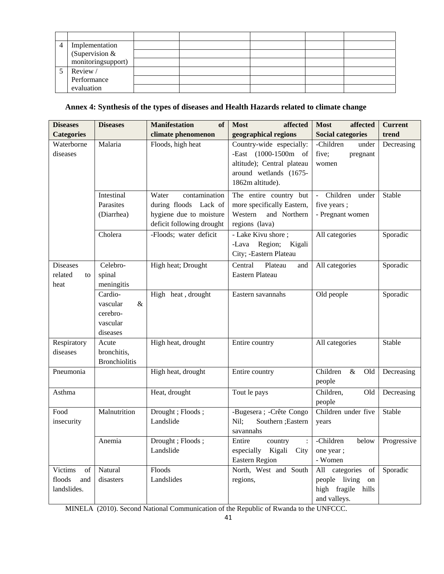| 4 | Implementation     |  |  |  |
|---|--------------------|--|--|--|
|   | (Supervision &     |  |  |  |
|   | monitoringsupport) |  |  |  |
|   | Review /           |  |  |  |
|   | Performance        |  |  |  |
|   | evaluation         |  |  |  |

### **Annex 4: Synthesis of the types of diseases and Health Hazards related to climate change**

| <b>Diseases</b>                               | <b>Diseases</b>                                              | <b>Manifestation</b><br>of                                                                              | <b>Most</b><br>affected                                                                                                          | <b>Most</b><br>affected                                                     | <b>Current</b> |
|-----------------------------------------------|--------------------------------------------------------------|---------------------------------------------------------------------------------------------------------|----------------------------------------------------------------------------------------------------------------------------------|-----------------------------------------------------------------------------|----------------|
| <b>Categories</b>                             |                                                              | climate phenomenon                                                                                      | geographical regions                                                                                                             | <b>Social categories</b>                                                    | trend          |
| Waterborne<br>diseases                        | Malaria                                                      | Floods, high heat                                                                                       | Country-wide especially:<br>-East (1000-1500m)<br>of<br>altitude); Central plateau<br>around wetlands (1675-<br>1862m altitude). | -Children<br>under<br>five;<br>pregnant<br>women                            | Decreasing     |
|                                               | Intestinal<br>Parasites<br>(Diarrhea)                        | Water<br>contamination<br>during floods Lack of<br>hygiene due to moisture<br>deficit following drought | The entire country but<br>more specifically Eastern,<br>Western<br>and Northern<br>regions (lava)                                | Children under<br>five years;<br>- Pregnant women                           | Stable         |
|                                               | Cholera                                                      | -Floods; water deficit                                                                                  | - Lake Kivu shore;<br>-Lava Region;<br>Kigali<br>City; -Eastern Plateau                                                          | All categories                                                              | Sporadic       |
| <b>Diseases</b><br>related<br>to<br>heat      | Celebro-<br>spinal<br>meningitis                             | High heat; Drought                                                                                      | Central<br>Plateau<br>and<br>Eastern Plateau                                                                                     | All categories                                                              | Sporadic       |
|                                               | Cardio-<br>vascular<br>&<br>cerebro-<br>vascular<br>diseases | High heat, drought                                                                                      | Eastern savannahs                                                                                                                | Old people                                                                  | Sporadic       |
| Respiratory<br>diseases                       | Acute<br>bronchitis,<br><b>Bronchiolitis</b>                 | High heat, drought                                                                                      | Entire country                                                                                                                   | All categories                                                              | Stable         |
| Pneumonia                                     |                                                              | High heat, drought                                                                                      | Entire country                                                                                                                   | Children<br>$\&$<br>Old<br>people                                           | Decreasing     |
| Asthma                                        |                                                              | Heat, drought                                                                                           | Tout le pays                                                                                                                     | Children,<br>Old<br>people                                                  | Decreasing     |
| Food<br>insecurity                            | Malnutrition                                                 | Drought; Floods;<br>Landslide                                                                           | -Bugesera ; - Crête Congo<br>Nil;<br>Southern ; Eastern<br>savannahs                                                             | Children under five<br>years                                                | Stable         |
|                                               | Anemia                                                       | Drought; Floods;<br>Landslide                                                                           | Entire<br>country<br>especially Kigali City<br><b>Eastern Region</b>                                                             | -Children<br>below<br>one year;<br>- Women                                  | Progressive    |
| Victims<br>of<br>floods<br>and<br>landslides. | Natural<br>disasters                                         | Floods<br>Landslides                                                                                    | North, West and South<br>regions,                                                                                                | All categories of<br>people living on<br>high fragile hills<br>and valleys. | Sporadic       |

MINELA (2010). Second National Communication of the Republic of Rwanda to the UNFCCC.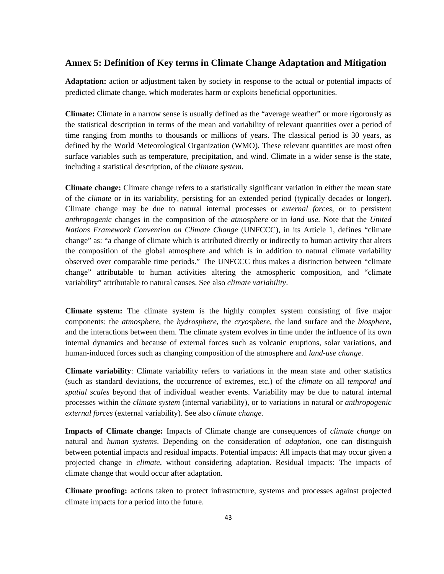### **Annex 5: Definition of Key terms in Climate Change Adaptation and Mitigation**

**Adaptation:** action or adjustment taken by society in response to the actual or potential impacts of predicted climate change, which moderates harm or exploits beneficial opportunities.

**Climate:** Climate in a narrow sense is usually defined as the "average weather" or more rigorously as the statistical description in terms of the mean and variability of relevant quantities over a period of time ranging from months to thousands or millions of years. The classical period is 30 years, as defined by the World Meteorological Organization (WMO). These relevant quantities are most often surface variables such as temperature, precipitation, and wind. Climate in a wider sense is the state, including a statistical description, of the *climate system*.

**Climate change:** Climate change refers to a statistically significant variation in either the mean state of the *climate* or in its variability, persisting for an extended period (typically decades or longer). Climate change may be due to natural internal processes or *external forces*, or to persistent *anthropogenic* changes in the composition of the *atmosphere* or in *land use*. Note that the *United Nations Framework Convention on Climate Change* (UNFCCC), in its Article 1, defines "climate change" as: "a change of climate which is attributed directly or indirectly to human activity that alters the composition of the global atmosphere and which is in addition to natural climate variability observed over comparable time periods." The UNFCCC thus makes a distinction between "climate change" attributable to human activities altering the atmospheric composition, and "climate variability" attributable to natural causes. See also *climate variability*.

**Climate system:** The climate system is the highly complex system consisting of five major components: the *atmosphere*, the *hydrosphere*, the *cryosphere*, the land surface and the *biosphere*, and the interactions between them. The climate system evolves in time under the influence of its own internal dynamics and because of external forces such as volcanic eruptions, solar variations, and human-induced forces such as changing composition of the atmosphere and *land-use change*.

**Climate variability**: Climate variability refers to variations in the mean state and other statistics (such as standard deviations, the occurrence of extremes, etc.) of the *climate* on all *temporal and spatial scales* beyond that of individual weather events. Variability may be due to natural internal processes within the *climate system* (internal variability), or to variations in natural or *anthropogenic external forces* (external variability). See also *climate change*.

**Impacts of Climate change:** Impacts of Climate change are consequences of *climate change* on natural and *human systems*. Depending on the consideration of *adaptation*, one can distinguish between potential impacts and residual impacts. Potential impacts: All impacts that may occur given a projected change in *climate*, without considering adaptation. Residual impacts: The impacts of climate change that would occur after adaptation.

**Climate proofing:** actions taken to protect infrastructure, systems and processes against projected climate impacts for a period into the future.